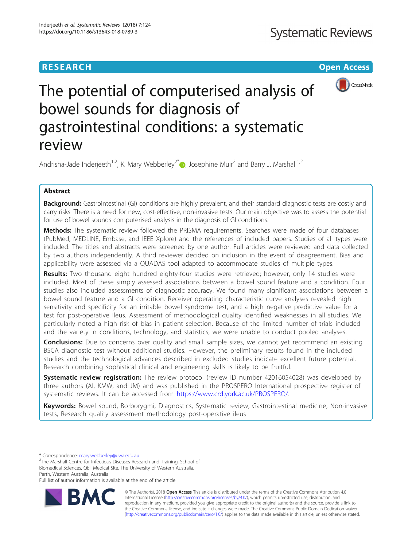# **RESEARCH CHOOSE CONSUMING THE CHOOSE CONSUMING THE CONSUMING TO A CONSUMING THE CONSUMING THE CONSUMING TO A CONSUMING THE CONSUMING THE CONSUMING THE CONSUMING THE CONSUMING THE CONSUMING THE CONSUMING THE CONSUMING TH**



# The potential of computerised analysis of bowel sounds for diagnosis of gastrointestinal conditions: a systematic review

Andrisha-Jade Inderjeeth<sup>1,2</sup>, K. Mary Webberley<sup>2[\\*](http://orcid.org/0000-0002-0232-256X)</sup>  $\bullet$ , Josephine Muir<sup>2</sup> and Barry J. Marshall<sup>1,2</sup>

## Abstract

Background: Gastrointestinal (GI) conditions are highly prevalent, and their standard diagnostic tests are costly and carry risks. There is a need for new, cost-effective, non-invasive tests. Our main objective was to assess the potential for use of bowel sounds computerised analysis in the diagnosis of GI conditions.

Methods: The systematic review followed the PRISMA requirements. Searches were made of four databases (PubMed, MEDLINE, Embase, and IEEE Xplore) and the references of included papers. Studies of all types were included. The titles and abstracts were screened by one author. Full articles were reviewed and data collected by two authors independently. A third reviewer decided on inclusion in the event of disagreement. Bias and applicability were assessed via a QUADAS tool adapted to accommodate studies of multiple types.

Results: Two thousand eight hundred eighty-four studies were retrieved; however, only 14 studies were included. Most of these simply assessed associations between a bowel sound feature and a condition. Four studies also included assessments of diagnostic accuracy. We found many significant associations between a bowel sound feature and a GI condition. Receiver operating characteristic curve analyses revealed high sensitivity and specificity for an irritable bowel syndrome test, and a high negative predictive value for a test for post-operative ileus. Assessment of methodological quality identified weaknesses in all studies. We particularly noted a high risk of bias in patient selection. Because of the limited number of trials included and the variety in conditions, technology, and statistics, we were unable to conduct pooled analyses.

**Conclusions:** Due to concerns over quality and small sample sizes, we cannot yet recommend an existing BSCA diagnostic test without additional studies. However, the preliminary results found in the included studies and the technological advances described in excluded studies indicate excellent future potential. Research combining sophistical clinical and engineering skills is likely to be fruitful.

**Systematic review registration:** The review protocol (review ID number 42016054028) was developed by three authors (AI, KMW, and JM) and was published in the PROSPERO International prospective register of systematic reviews. It can be accessed from [https://www.crd.york.ac.uk/PROSPERO/.](https://www.crd.york.ac.uk/PROSPERO/)

Keywords: Bowel sound, Borborygmi, Diagnostics, Systematic review, Gastrointestinal medicine, Non-invasive tests, Research quality assessment methodology post-operative ileus

\* Correspondence: [mary.webberley@uwa.edu.au](mailto:mary.webberley@uwa.edu.au) <sup>2</sup>

<sup>2</sup>The Marshall Centre for Infectious Diseases Research and Training, School of Biomedical Sciences, QEII Medical Site, The University of Western Australia, Perth, Western Australia, Australia

Full list of author information is available at the end of the article



© The Author(s). 2018 Open Access This article is distributed under the terms of the Creative Commons Attribution 4.0 International License [\(http://creativecommons.org/licenses/by/4.0/](http://creativecommons.org/licenses/by/4.0/)), which permits unrestricted use, distribution, and reproduction in any medium, provided you give appropriate credit to the original author(s) and the source, provide a link to the Creative Commons license, and indicate if changes were made. The Creative Commons Public Domain Dedication waiver [\(http://creativecommons.org/publicdomain/zero/1.0/](http://creativecommons.org/publicdomain/zero/1.0/)) applies to the data made available in this article, unless otherwise stated.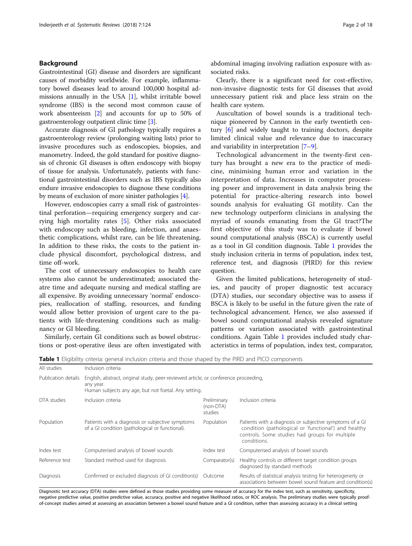#### <span id="page-1-0"></span>Background

Gastrointestinal (GI) disease and disorders are significant causes of morbidity worldwide. For example, inflammatory bowel diseases lead to around 100,000 hospital admissions annually in the USA [[1\]](#page-16-0), whilst irritable bowel syndrome (IBS) is the second most common cause of work absenteeism [[2](#page-16-0)] and accounts for up to 50% of gastroenterology outpatient clinic time [\[3\]](#page-16-0).

Accurate diagnosis of GI pathology typically requires a gastroenterology review (prolonging waiting lists) prior to invasive procedures such as endoscopies, biopsies, and manometry. Indeed, the gold standard for positive diagnosis of chronic GI diseases is often endoscopy with biopsy of tissue for analysis. Unfortunately, patients with functional gastrointestinal disorders such as IBS typically also endure invasive endoscopies to diagnose these conditions by means of exclusion of more sinister pathologies [\[4\]](#page-16-0).

However, endoscopies carry a small risk of gastrointestinal perforation—requiring emergency surgery and carrying high mortality rates [\[5](#page-16-0)]. Other risks associated with endoscopy such as bleeding, infection, and anaesthetic complications, whilst rare, can be life threatening. In addition to these risks, the costs to the patient include physical discomfort, psychological distress, and time off-work.

The cost of unnecessary endoscopies to health care systems also cannot be underestimated; associated theatre time and adequate nursing and medical staffing are all expensive. By avoiding unnecessary 'normal' endoscopies, reallocation of staffing, resources, and funding would allow better provision of urgent care to the patients with life-threatening conditions such as malignancy or GI bleeding.

Similarly, certain GI conditions such as bowel obstructions or post-operative ileus are often investigated with abdominal imaging involving radiation exposure with associated risks.

Clearly, there is a significant need for cost-effective, non-invasive diagnostic tests for GI diseases that avoid unnecessary patient risk and place less strain on the health care system.

Auscultation of bowel sounds is a traditional technique pioneered by Cannon in the early twentieth century [\[6](#page-16-0)] and widely taught to training doctors, despite limited clinical value and relevance due to inaccuracy and variability in interpretation [[7](#page-16-0)–[9\]](#page-16-0).

Technological advancement in the twenty-first century has brought a new era to the practice of medicine, minimising human error and variation in the interpretation of data. Increases in computer processing power and improvement in data analysis bring the potential for practice-altering research into bowel sounds analysis for evaluating GI motility. Can the new technology outperform clinicians in analysing the myriad of sounds emanating from the GI tract?The first objective of this study was to evaluate if bowel sound computational analysis (BSCA) is currently useful as a tool in GI condition diagnosis. Table 1 provides the study inclusion criteria in terms of population, index test, reference test, and diagnosis (PIRD) for this review question.

Given the limited publications, heterogeneity of studies, and paucity of proper diagnostic test accuracy (DTA) studies, our secondary objective was to assess if BSCA is likely to be useful in the future given the rate of technological advancement. Hence, we also assessed if bowel sound computational analysis revealed signature patterns or variation associated with gastrointestinal conditions. Again Table 1 provides included study characteristics in terms of population, index test, comparator,

**Table 1** Eligibility criteria: general inclusion criteria and those shaped by the PIRD and PICO components

|                     | <b>TWAIS</b> I Englishing Chichia, general inclusion chichia and those shaped by the Finib and Heo components                                            |                                     |                                                                                                                                                                                   |
|---------------------|----------------------------------------------------------------------------------------------------------------------------------------------------------|-------------------------------------|-----------------------------------------------------------------------------------------------------------------------------------------------------------------------------------|
| All studies         | Inclusion criteria                                                                                                                                       |                                     |                                                                                                                                                                                   |
| Publication details | English, abstract, original study, peer-reviewed article, or conference proceeding,<br>any year.<br>Human subjects any age, but not foetal. Any setting. |                                     |                                                                                                                                                                                   |
| DTA studies         | Inclusion criteria                                                                                                                                       | Preliminary<br>(non-DTA)<br>studies | Inclusion criteria                                                                                                                                                                |
| Population          | Patients with a diagnosis or subjective symptoms<br>of a GI condition (pathological or functional).                                                      | Population                          | Patients with a diagnosis or subjective symptoms of a GI<br>condition (pathological or 'functional') and healthy<br>controls. Some studies had groups for multiple<br>conditions. |
| Index test          | Computerised analysis of bowel sounds                                                                                                                    | Index test                          | Computerised analysis of bowel sounds                                                                                                                                             |
| Reference test      | Standard method used for diagnosis                                                                                                                       | Comparator(s)                       | Healthy controls or different target condition groups<br>diagnosed by standard methods                                                                                            |
| Diagnosis           | Confirmed or excluded diagnosis of GI condition(s)                                                                                                       | Outcome                             | Results of statistical analysis testing for heterogeneity or<br>associations between bowel sound feature and condition(s)                                                         |

Diagnostic test accuracy (DTA) studies were defined as those studies providing some measure of accuracy for the index test, such as sensitivity, specificity, negative predictive value, positive predictive value, accuracy, positive and negative likelihood ratios, or ROC analysis. The preliminary studies were typically proofof-concept studies aimed at assessing an association between a bowel sound feature and a GI condition, rather than assessing accuracy in a clinical setting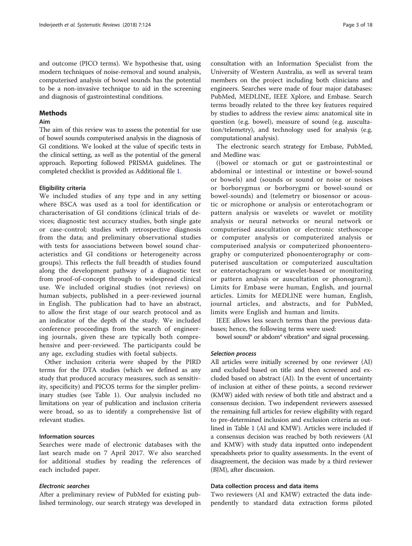and outcome (PICO terms). We hypothesise that, using modern techniques of noise-removal and sound analysis, computerised analysis of bowel sounds has the potential to be a non-invasive technique to aid in the screening and diagnosis of gastrointestinal conditions.

#### Methods

#### Aim

The aim of this review was to assess the potential for use of bowel sounds computerised analysis in the diagnosis of GI conditions. We looked at the value of specific tests in the clinical setting, as well as the potential of the general approach. Reporting followed PRISMA guidelines. The completed checklist is provided as Additional file [1](#page-15-0).

#### Eligibility criteria

We included studies of any type and in any setting where BSCA was used as a tool for identification or characterisation of GI conditions (clinical trials of devices; diagnostic test accuracy studies, both single gate or case-control; studies with retrospective diagnosis from the data; and preliminary observational studies with tests for associations between bowel sound characteristics and GI conditions or heterogeneity across groups). This reflects the full breadth of studies found along the development pathway of a diagnostic test from proof-of-concept through to widespread clinical use. We included original studies (not reviews) on human subjects, published in a peer-reviewed journal in English. The publication had to have an abstract, to allow the first stage of our search protocol and as an indicator of the depth of the study. We included conference proceedings from the search of engineering journals, given these are typically both comprehensive and peer-reviewed. The participants could be any age, excluding studies with foetal subjects.

Other inclusion criteria were shaped by the PIRD terms for the DTA studies (which we defined as any study that produced accuracy measures, such as sensitivity, specificity) and PICOS terms for the simpler preliminary studies (see Table [1\)](#page-1-0). Our analysis included no limitations on year of publication and inclusion criteria were broad, so as to identify a comprehensive list of relevant studies.

#### Information sources

Searches were made of electronic databases with the last search made on 7 April 2017. We also searched for additional studies by reading the references of each included paper.

#### Electronic searches

After a preliminary review of PubMed for existing published terminology, our search strategy was developed in

consultation with an Information Specialist from the University of Western Australia, as well as several team members on the project including both clinicians and engineers. Searches were made of four major databases: PubMed, MEDLINE, IEEE Xplore, and Embase. Search terms broadly related to the three key features required by studies to address the review aims: anatomical site in question (e.g. bowel), measure of sound (e.g. auscultation/telemetry), and technology used for analysis (e.g. computational analysis).

The electronic search strategy for Embase, PubMed, and Medline was:

((bowel or stomach or gut or gastrointestinal or abdominal or intestinal or intestine or bowel-sound or bowels) and (sounds or sound or noise or noises or borborygmus or borborygmi or bowel-sound or bowel-sounds) and (telemetry or biosensor or acoustic or microphone or analysis or enterotachogram or pattern analysis or wavelets or wavelet or motility analysis or neural networks or neural network or computerised auscultation or electronic stethoscope or computer analysis or computerized analysis or computerised analysis or computerized phonoenterography or computerized phonoenterography or computerised auscultation or computerized auscultation or enterotachogram or wavelet-based or monitoring or pattern analysis or auscultation or phonogram)). Limits for Embase were human, English, and journal articles. Limits for MEDLINE were human, English, journal articles, and abstracts, and for PubMed, limits were English and human and limits.

IEEE allows less search terms than the previous databases; hence, the following terms were used:

bowel sound\* or abdom\* vibration\* and signal processing.

#### Selection process

All articles were initially screened by one reviewer (AI) and excluded based on title and then screened and excluded based on abstract (AI). In the event of uncertainty of inclusion at either of these points, a second reviewer (KMW) aided with review of both title and abstract and a consensus decision. Two independent reviewers assessed the remaining full articles for review eligibility with regard to pre-determined inclusion and exclusion criteria as outlined in Table [1](#page-1-0) (AI and KMW). Articles were included if a consensus decision was reached by both reviewers (AI and KMW) with study data inputted onto independent spreadsheets prior to quality assessments. In the event of disagreement, the decision was made by a third reviewer (BJM), after discussion.

#### Data collection process and data items

Two reviewers (AI and KMW) extracted the data independently to standard data extraction forms piloted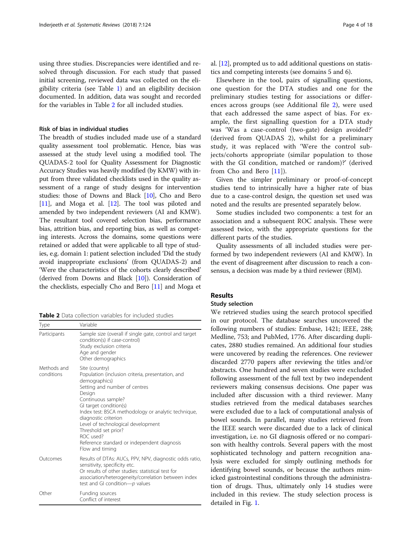using three studies. Discrepancies were identified and resolved through discussion. For each study that passed initial screening, reviewed data was collected on the eligibility criteria (see Table [1\)](#page-1-0) and an eligibility decision documented. In addition, data was sought and recorded for the variables in Table 2 for all included studies.

#### Risk of bias in individual studies

The breadth of studies included made use of a standard quality assessment tool problematic. Hence, bias was assessed at the study level using a modified tool. The QUADAS-2 tool for Quality Assessment for Diagnostic Accuracy Studies was heavily modified (by KMW) with input from three validated checklists used in the quality assessment of a range of study designs for intervention studies: those of Downs and Black [\[10\]](#page-16-0), Cho and Bero [[11](#page-16-0)], and Moga et al. [\[12\]](#page-16-0). The tool was piloted and amended by two independent reviewers (AI and KMW). The resultant tool covered selection bias, performance bias, attrition bias, and reporting bias, as well as competing interests. Across the domains, some questions were retained or added that were applicable to all type of studies, e.g. domain 1: patient selection included 'Did the study avoid inappropriate exclusions' (from QUADAS-2) and 'Were the characteristics of the cohorts clearly described' (derived from Downs and Black [\[10\]](#page-16-0)). Consideration of the checklists, especially Cho and Bero [\[11\]](#page-16-0) and Moga et

Table 2 Data collection variables for included studies

| Type                      | Variable                                                                                                                                                                                                                                                                                                                                                                                                    |
|---------------------------|-------------------------------------------------------------------------------------------------------------------------------------------------------------------------------------------------------------------------------------------------------------------------------------------------------------------------------------------------------------------------------------------------------------|
| Participants              | Sample size (overall if single gate, control and target<br>condition(s) if case-control)<br>Study exclusion criteria<br>Age and gender<br>Other demographics                                                                                                                                                                                                                                                |
| Methods and<br>conditions | Site (country)<br>Population (inclusion criteria, presentation, and<br>demographics)<br>Setting and number of centres<br>Design<br>Continuous sample?<br>GI target condition(s)<br>Index test: BSCA methodology or analytic technique,<br>diagnostic criterion<br>Level of technological development<br>Threshold set prior?<br>ROC used?<br>Reference standard or independent diagnosis<br>Flow and timing |
| Outcomes                  | Results of DTAs: AUCs, PPV, NPV, diagnostic odds ratio,<br>sensitivity, specificity etc.<br>Or results of other studies: statistical test for<br>association/heterogeneity/correlation between index<br>test and GI condition- $p$ values                                                                                                                                                                   |
| Other                     | Funding sources<br>Conflict of interest                                                                                                                                                                                                                                                                                                                                                                     |

al. [\[12\]](#page-16-0), prompted us to add additional questions on statistics and competing interests (see domains 5 and 6).

Elsewhere in the tool, pairs of signalling questions, one question for the DTA studies and one for the preliminary studies testing for associations or differences across groups (see Additional file [2\)](#page-15-0), were used that each addressed the same aspect of bias. For example, the first signalling question for a DTA study was 'Was a case-control (two-gate) design avoided?' (derived from QUADAS 2), whilst for a preliminary study, it was replaced with 'Were the control subjects/cohorts appropriate (similar population to those with the GI condition, matched or random)?' (derived from Cho and Bero [[11\]](#page-16-0)).

Given the simpler preliminary or proof-of-concept studies tend to intrinsically have a higher rate of bias due to a case-control design, the question set used was noted and the results are presented separately below.

Some studies included two components: a test for an association and a subsequent ROC analysis. These were assessed twice, with the appropriate questions for the different parts of the studies.

Quality assessments of all included studies were performed by two independent reviewers (AI and KMW). In the event of disagreement after discussion to reach a consensus, a decision was made by a third reviewer (BJM).

#### Results

#### Study selection

We retrieved studies using the search protocol specified in our protocol. The database searches uncovered the following numbers of studies: Embase, 1421; IEEE, 288; Medline, 753; and PubMed, 1776. After discarding duplicates, 2880 studies remained. An additional four studies were uncovered by reading the references. One reviewer discarded 2770 papers after reviewing the titles and/or abstracts. One hundred and seven studies were excluded following assessment of the full text by two independent reviewers making consensus decisions. One paper was included after discussion with a third reviewer. Many studies retrieved from the medical databases searches were excluded due to a lack of computational analysis of bowel sounds. In parallel, many studies retrieved from the IEEE search were discarded due to a lack of clinical investigation, i.e. no GI diagnosis offered or no comparison with healthy controls. Several papers with the most sophisticated technology and pattern recognition analysis were excluded for simply outlining methods for identifying bowel sounds, or because the authors mimicked gastrointestinal conditions through the administration of drugs. Thus, ultimately only 14 studies were included in this review. The study selection process is detailed in Fig. [1.](#page-4-0)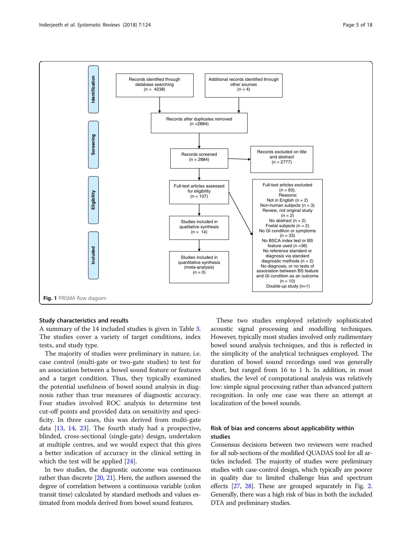<span id="page-4-0"></span>

### Study characteristics and results

A summary of the 14 included studies is given in Table [3](#page-5-0). The studies cover a variety of target conditions, index tests, and study type.

The majority of studies were preliminary in nature, i.e. case control (multi-gate or two-gate studies) to test for an association between a bowel sound feature or features and a target condition. Thus, they typically examined the potential usefulness of bowel sound analysis in diagnosis rather than true measures of diagnostic accuracy. Four studies involved ROC analysis to determine test cut-off points and provided data on sensitivity and specificity. In three cases, this was derived from multi-gate data [[13,](#page-16-0) [14](#page-16-0), [23](#page-16-0)]. The fourth study had a prospective, blinded, cross-sectional (single-gate) design, undertaken at multiple centres, and we would expect that this gives a better indication of accuracy in the clinical setting in which the test will be applied [[24\]](#page-16-0).

In two studies, the diagnostic outcome was continuous rather than discrete  $[20, 21]$  $[20, 21]$  $[20, 21]$  $[20, 21]$  $[20, 21]$ . Here, the authors assessed the degree of correlation between a continuous variable (colon transit time) calculated by standard methods and values estimated from models derived from bowel sound features.

These two studies employed relatively sophisticated acoustic signal processing and modelling techniques. However, typically most studies involved only rudimentary bowel sound analysis techniques, and this is reflected in the simplicity of the analytical techniques employed. The duration of bowel sound recordings used was generally short, but ranged from 16 to 1 h. In addition, in most studies, the level of computational analysis was relatively low: simple signal processing rather than advanced pattern recognition. In only one case was there an attempt at localization of the bowel sounds.

## Risk of bias and concerns about applicability within studies

Consensus decisions between two reviewers were reached for all sub-sections of the modified QUADAS tool for all articles included. The majority of studies were preliminary studies with case-control design, which typically are poorer in quality due to limited challenge bias and spectrum effects [[27](#page-16-0), [28\]](#page-16-0). These are grouped separately in Fig. [2](#page-8-0). Generally, there was a high risk of bias in both the included DTA and preliminary studies.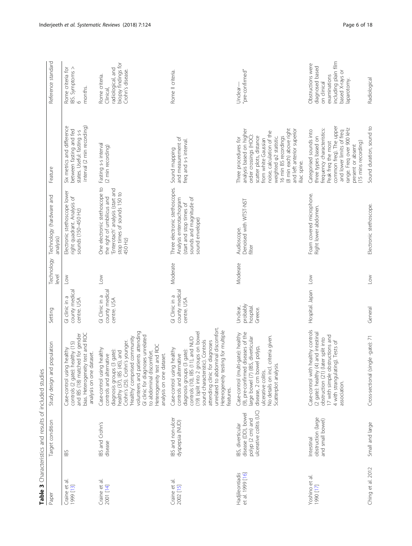<span id="page-5-0"></span>

|                                     | Table 3 Characteristics and results of included studies                                 |                                                                                                                                                                                                                                                                                                                                                        |                                                 |                           |                                                                                                                                           |                                                                                                                                                                                                                                                                                                |                                                                                                                               |
|-------------------------------------|-----------------------------------------------------------------------------------------|--------------------------------------------------------------------------------------------------------------------------------------------------------------------------------------------------------------------------------------------------------------------------------------------------------------------------------------------------------|-------------------------------------------------|---------------------------|-------------------------------------------------------------------------------------------------------------------------------------------|------------------------------------------------------------------------------------------------------------------------------------------------------------------------------------------------------------------------------------------------------------------------------------------------|-------------------------------------------------------------------------------------------------------------------------------|
| Paper                               | Target condition                                                                        | population<br>Study design and                                                                                                                                                                                                                                                                                                                         | Setting                                         | Technology<br>level       | Technology (hardware and<br>analysis)                                                                                                     | Feature                                                                                                                                                                                                                                                                                        | Reference standard                                                                                                            |
| Craine et al<br>1999 [13]           | $\underline{\mathbb{B}}$                                                                | bias. Heterogeneity test and ROC<br>and IBS (18) matched for gender<br>healthy (15)<br>Case-control using healthy<br>analysis on one dataset.<br>controls (2 gate):                                                                                                                                                                                    | county medical<br>Gl clinic in a<br>centre. USA | $\sim$                    | Electronic stethoscope lower<br>right quadrant. Analysis of<br>sounds (150-450 Hz)                                                        | interval (2 min recording)<br>Six metrics and difference<br>between fasting and fed<br>states. Useful: fasting s-s                                                                                                                                                                             | IBS. Symptoms ><br>Rome criteria for<br>months.<br>$\circ$                                                                    |
| Craine et al.<br>2001 [14]          | IBS and Crohn's<br>disease                                                              | volunteers and patients attending<br>GI clinic for diagnoses unrelated<br>'Healthy' comprised community<br>healthy (37), IBS (45), and<br>Crohn's (25). Crohn's younger.<br>Heterogeneity test and ROC<br>Case-control using healthy<br>diagnosis groups (3 gate):<br>to abdominal discomfort.<br>analysis on one dataset.<br>controls and alternative | county medical<br>GI Clinic in a<br>centre. USA | $\overline{\text{Cov}}$   | One electronic stethoscope to<br>'Enterotach' analysis (start and<br>stop times of sounds 150 to<br>the right of umbilicus and<br>450 Hz) | Fasting s-s interval<br>(2 min recording)                                                                                                                                                                                                                                                      | biopsy findings for<br>radiological, and<br>Crohn's disease.<br>Rome criteria.<br>Clinical,                                   |
| Craine et al.<br>2002 [15]          | IBS and non-ulcer<br>dyspepsia (NUD)                                                    | unrelated to abdominal discomfort.<br>Heterogeneity testing for multiple<br>(19) (split into 2 groups on bowel<br>$(11)$ , and NUD<br>sound characteristic). Controls<br>attending clinic for diagnoses<br>Case-control using healthy<br>diagnosis groups (3 gate):<br>controls and alternative<br>controls (10), IBS<br>features.                     | county medical<br>GI Clinic in a<br>centre. USA | Moderate                  | Three electronic stethoscopes.<br>sounds and magnitude of<br>Analysis enterotachogram<br>(start and stop times of<br>sound envelope)      | and measurement of<br>freq and s-s interval.<br>Sound mapping                                                                                                                                                                                                                                  | Rome II criteria.                                                                                                             |
| Hadjileontiadis<br>et al. 1999 [16] | ulcerative colitis (UC)<br>disease (DD), bowel<br>polyp (2 cm) and<br>IBS, diverticular | (9), pre-confirmed diseases of the<br>Case-control (multi-gate): healthy<br>ulcerative colitis.<br>No details on incl. criteria given.<br>large bowel (7) (IBS, diverticular<br>disease, 2 cm bowel polyp,<br>Scatterplot analysis.                                                                                                                    | probably<br>hospital.<br>Unclear,<br>Greece.    | Moderate                  | Denoised with WTST-NST<br>Audioscope.<br>filter                                                                                           | (8 min each) above right<br>and left anterior superior<br>analysis based on higher<br>noise, calculation of the<br>order crossings (HOC):<br>scatter plots, distance<br>16 min BS recordings<br>weighted $\varphi$ 2 statistic.<br>Three procedures for<br>from white Gaussian<br>iliac spine. | "pre-confirmed"<br>Unclear-                                                                                                   |
| Yoshino et al.<br>[1] 0661          | obstruction (large<br>and small bowel)<br>Intestinal                                    | Case-control with healthy controls<br>(2 gate): healthy (4) and intestinal<br>17 with simple obstructions and<br>obstruction (21) (later split into<br>4 with strangulating). Tests of<br>association.                                                                                                                                                 | Hospital. Japan                                 | $\sum_{i=1}^{n}$          | Foam covered microphone.<br>Right lower abdomen.                                                                                          | common freq). The upper<br>range. Freq over 900 kHz<br>frequency characteristics:<br>Categorised sounds into<br>and lower limits of freq<br>three types based on<br>Peak freq the most<br>(15 mins recording)<br>present or absent                                                             | including plain film<br>Obstructions were<br>diagnosed based<br>based X-rays or<br>examinations<br>laparotomy.<br>on clinical |
| Ching et al. 2012                   | Small and large                                                                         | Cross-sectional (single -gate): 71                                                                                                                                                                                                                                                                                                                     | General                                         | $\overline{\mathsf{Low}}$ | Electronic stethoscope.                                                                                                                   | Sound duration, sound to                                                                                                                                                                                                                                                                       | Radiological                                                                                                                  |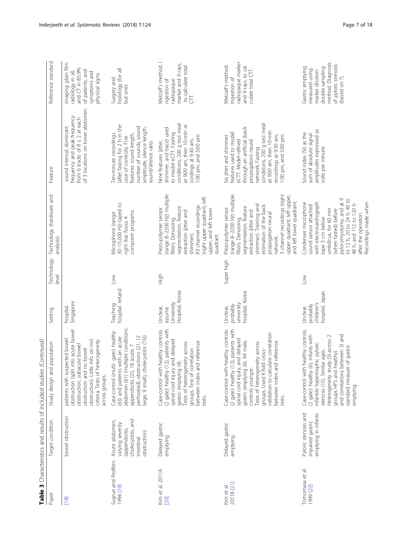|                                     | Table 3 Characteristics and results of included studies                                                  | (Continued)                                                                                                                                                                                                                                                                                                                 |                                                       |                     |                                                                                                                                                                                                                                                                                                              |                                                                                                                                                                                                                                                                |                                                                                                                                       |
|-------------------------------------|----------------------------------------------------------------------------------------------------------|-----------------------------------------------------------------------------------------------------------------------------------------------------------------------------------------------------------------------------------------------------------------------------------------------------------------------------|-------------------------------------------------------|---------------------|--------------------------------------------------------------------------------------------------------------------------------------------------------------------------------------------------------------------------------------------------------------------------------------------------------------|----------------------------------------------------------------------------------------------------------------------------------------------------------------------------------------------------------------------------------------------------------------|---------------------------------------------------------------------------------------------------------------------------------------|
| Paper                               | Target condition                                                                                         | population<br>Study design and                                                                                                                                                                                                                                                                                              | Setting                                               | Technology<br>level | Technology (hardware and<br>analysis)                                                                                                                                                                                                                                                                        | Feature                                                                                                                                                                                                                                                        | Reference standard                                                                                                                    |
| $[18]$                              | bowel obstruction                                                                                        | obstruction (split into acute bowel<br>patients with suspected bowel<br>obstruction). Little info on incl.<br>criteria. Tests of heterogeneity<br>obstruction, subacute bowel<br>obstruction and no bowel<br>across groups.                                                                                                 | Singapore<br>hospital                                 |                     |                                                                                                                                                                                                                                                                                                              | of 3 locations on lower abdomen.<br>frequency and peak frequency<br>from 6 tracks of 8 s: 2 at each<br>sound interval, dominant                                                                                                                                | imaging: plain film<br>and $CT$ in 85.9%<br>of patients, and<br>radiology in all,<br>symptoms and<br>physical signs.                  |
| Sugrue and Redfern<br>1994 [19]     | cholecystitis, and<br>Acute abdomen,<br>varying severity<br>(appendicitis,<br>obstruction)<br>intestinal | abdomen (61) (multiple conditions:<br>Case-control (multi-gate): healthy<br>perforated), obstructions (21, 12<br>large, 9 small), cholecystitis (15))<br>(63) and patients with an acute<br>appendicitis (25, 18 acute, 7                                                                                                   | hospital. Ireland<br>Teaching                         | $\leq$              | 30-15,000 Hz) taped to<br>computer programs.<br>Microphone (range<br>right iliac fossa. 4                                                                                                                                                                                                                    | (after fasting for 2 h in the<br>number of sounds, sound<br>amplitude, silence length,<br>Ten-minute recordings<br>features: sound length,<br>case of controls). Five<br>sound/silence ratio.                                                                  | histology (for all<br>Surgery and<br>but one)                                                                                         |
| Kim et al. 2011A<br>20              | Delayed gastric<br>emptying                                                                              | (2 gate): healthy (12), patients with<br>healthy controls<br>and delayed<br>between index and reference<br>Tests of heterogeneity across<br>groups. Test of correlation<br>gastric emptying (4).<br>Case-control with<br>spinal cord injury<br>tests.                                                                       | Hospital, Korea<br>University<br>Unclear,<br>assume   | High                | (range 8-2200 Hz) multiple<br>(right upper quadrant, left<br>R3 channel recordings<br>segmentation, feature<br>Piezo-polymer sensor<br>upper, and left lower<br>extraction (jitter and<br>filters. Denoising,<br>quadrant.<br>shimmer).                                                                      | conditions, 200 g test meal<br>at 9:00 am, then 10-min re<br>shimmer, and trace) used<br>to model eCTT. Fasting<br>1:00 pm, and 5:00 pm.<br>cordings at 9:30 am,<br>Nine features (jitter,                                                                     | Metcalf's method. I<br>marker and X-rays,<br>to calculate total<br>ngestion of<br>radiopaque<br>É                                     |
| 2011B <sub>[21]</sub><br>Kim et al. | Delayed gastric<br>emptying                                                                              | (2 gate): healthy (12), patients with<br>healthy controls<br>validation to calculate correlation<br>and delayed<br>gastric emptying (6). All male,<br>between index and reference<br>Tests of heterogeneity across<br>groups. Used K-fold cross-<br>Case-control with<br>controls younger.<br>spinal cord injury,<br>tests. | hospital, Korea<br>university<br>probably<br>Unclear, | Super high          | (range 8-2200 Hz) multiple<br>3 channel recordings (right<br>upper quadrant, left upper,<br>and left lower quadrant.<br>shimmer). Training and<br>estimation of the back<br>segmentation, feature<br>Piezo-polymer sensor<br>extraction (jitter and<br>propogation neural<br>filters. Denoising,<br>network. | conditions, 200 g test meal<br>through an artificial (back<br>at 9:00 am, then 10-min<br>features used to model<br>recordings at 9:30 am,<br>1:00 pm, and 5:00 pm.<br>Six jitter and shimmer<br>eCTT. Model refined<br>propogation) neural<br>network. Fasting | radiopaque marker<br>Metcalf's method.<br>and X-rays, to cal<br>culate total CTT.<br>Ingestion of                                     |
| Tomomasa et al.<br>[22] 6661        | Pyloric stenosis and<br>impaired gastric<br>emptying in infants                                          | Case-control with healthy controls<br>and correlations between SI and<br>(2 gate): healthy (6), infants with<br>stenosis (15). Similar ages.<br>Heterogeneity study (SI across 2<br>infantile hypertrophic pyloric<br>of gastric<br>groups HPS and healthy)<br>standard measure<br>emptying.                                | hospital, Japan<br>children's<br>probably<br>Unclear, | $\geq$              | pyloromyotomy, and at 9<br>to 12 h, 20 to 24 h, 40 to<br>with electrocardiograph<br>Recordings made when<br>Condenser microphone<br>48 h, and 112 to 120 h<br>sound sensor attached<br>umbilicus, for 60 min<br>(when fasted) before<br>after the operation.<br>tape 3 cm below                              | amplitudes expressed as<br>Sound index (SI) as the<br>sum of absolute signal<br>volts per minute                                                                                                                                                               | method. Diagnosis<br>of pyloric stenosis<br>Gastric emptying<br>double sampling<br>measured using<br>marker dilution-<br>based on ?). |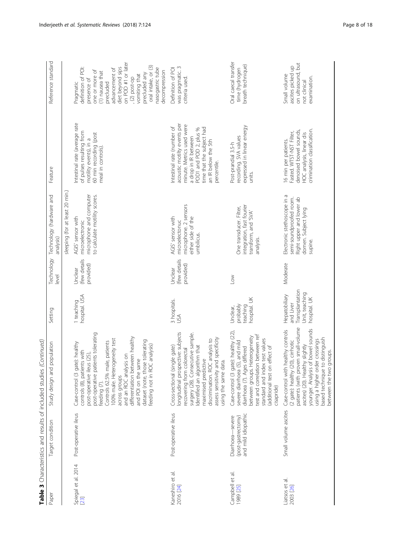| <b>Table</b>                  | 3 Characteristics and results of included studies             | (Continued)                                                                                                                                                                                                                                                                                                                                                                                 |                                                                                 |                                      |                                                                                                                       |                                                                                                                                                                                                             |                                                                                                                                                                                                                                                                             |
|-------------------------------|---------------------------------------------------------------|---------------------------------------------------------------------------------------------------------------------------------------------------------------------------------------------------------------------------------------------------------------------------------------------------------------------------------------------------------------------------------------------|---------------------------------------------------------------------------------|--------------------------------------|-----------------------------------------------------------------------------------------------------------------------|-------------------------------------------------------------------------------------------------------------------------------------------------------------------------------------------------------------|-----------------------------------------------------------------------------------------------------------------------------------------------------------------------------------------------------------------------------------------------------------------------------|
| Paper                         | Target condition                                              | population<br>Study design and                                                                                                                                                                                                                                                                                                                                                              | Setting                                                                         | Technology<br>level                  | Technology (hardware and<br>analysis)                                                                                 | Feature                                                                                                                                                                                                     | Reference standard                                                                                                                                                                                                                                                          |
|                               |                                                               |                                                                                                                                                                                                                                                                                                                                                                                             |                                                                                 |                                      | sleeping (for at least 20 min.)                                                                                       |                                                                                                                                                                                                             |                                                                                                                                                                                                                                                                             |
| Spiegal et al. 2014<br>[23]   | Post-operative ileus                                          | post-operative patients tolerating<br>differentiation between healthy<br>100% male. Heterogeneity test<br>dataset (note, those tolerating<br>feeding (7).<br>Controls 62.5% male, patients<br>Case-control (3 gate): healthy<br>feeding not in ROC analysis)<br>controls (8), patients with<br>post-operative ileus (25),<br>and an ROC analysis on<br>and POI on the same<br>across groups | hospital. USA<br>1 teaching                                                     | (few details<br>provided)<br>Unclear | microphone and computer<br>to calculate motility scores.<br>AGIS' sensor with<br>microelectronic                      | Intestinal rate (average rate<br>of pulses resulting from<br>60 min recording (post<br>motility events), in a<br>meal in controls)                                                                          | on POD #1 or later<br>oral intake, or (3)<br>definition of POI:<br>diet beyond sips<br>nasogastric tube<br>advancement of<br>one or more of<br>decompression<br>(1) nausea that<br>precluded any<br>vomiting that<br>$(2)$ post-op<br>presence of<br>precluded<br>Pragmatic |
| Kaneshiro et al.<br>2016 [24] | Post-operative ileus                                          | longitudinal prospective: subjects<br>surgery (28). Consecutive sample.<br>assess sensitivity and specificity<br>discrimination. ROC analysis to<br>Identified an algorithm that<br>Cross-sectional (single gate)<br>recovering from colorectal<br>maximised predictive<br>using the same data.                                                                                             | 3 hospitals.<br>JSA                                                             | (few details<br>provided)<br>Unclear | microphone. 2 sensors<br>AGIS' sensor with<br>either side of the<br>microelectonuc<br>umbilicus.                      | acoustic motilty events per<br>minute. Metrics used were<br>Intestinal rate (number of<br>time that the subject had<br>POD1 and POD 2, plus %<br>a drop in IR between<br>an IR below the 5th<br>percentile. | was pragmatic. 3<br>Definition of POI<br>criteria used.                                                                                                                                                                                                                     |
| Campbell et al.<br>1989 [25]  | and mild idiopathic<br>Diarrhoea-severe<br>(post-gastrectomy) | Case-control (3 gate): healthy (22),<br>test and correlation between ref<br>between groups. Heterogeneity<br>standard and index test values<br>severe diarrhoea (5), and mild<br>diarrhoea (7). Ages differed<br>effect of<br>(additional test on<br>cisapride)                                                                                                                             | hospital. UK<br>probably<br>teaching<br>Unclear,                                | $\leq$                               | integration, fast fourier<br>One transducer. Filter,<br>transform, and 'SVA'<br>analysis.                             | expressed in linear energy<br>recording. SVA values<br>Post-prandial 3.5-h<br>units.                                                                                                                        | Oral caecal transfer<br>breath technique)<br>time (hydrogen                                                                                                                                                                                                                 |
| ㅎ<br>Liatsos et<br>2003 [26]  | Small volume ascites                                          | patients (with proven small-volume<br>younger. Analysis of bowel sounds<br>Case-control with healthy controls<br>based technique to distinguish<br>(2 gate): healthy (20), cirrhotic<br>using a higher order crossings<br>ascites) (20). Healthy slightly<br>between the two groups.                                                                                                        | Transplantation<br>Unit, teaching<br>Hepatobiliary<br>hospital. UK<br>and Liver | Moderate                             | Electronic stethoscope in a<br>semi-soundproofed room.<br>Right upper and lower ab<br>domen. Subject lying<br>supine. | crimination classification.<br>denoised bowel sounds,<br>Fasted. WTST-NST Filter,<br>HOC analysis, linear dis<br>16 min per patients.                                                                       | on ultrasound, but<br>ascites picked up<br>Small volume<br>examination.<br>not clinical                                                                                                                                                                                     |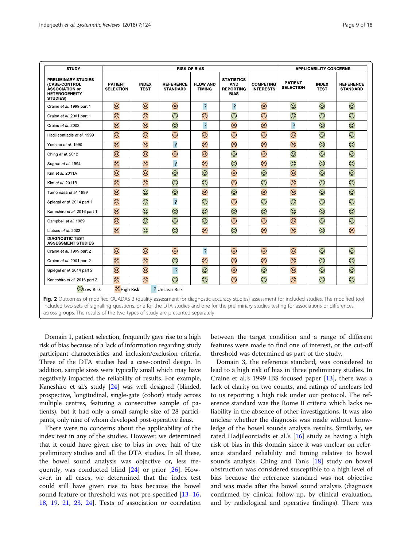<span id="page-8-0"></span>

| <b>STUDY</b>                                                                                                    |                                    |                             |                                     | <b>RISK OF BIAS</b>              |                                                             |                                      |                                    | <b>APPLICABILITY CONCERNS</b> |                                     |
|-----------------------------------------------------------------------------------------------------------------|------------------------------------|-----------------------------|-------------------------------------|----------------------------------|-------------------------------------------------------------|--------------------------------------|------------------------------------|-------------------------------|-------------------------------------|
| <b>PRELIMINARY STUDIES</b><br>(CASE-CONTROL<br><b>ASSOCIATION or</b><br><b>HETEROGENEITY</b><br><b>STUDIES)</b> | <b>PATIENT</b><br><b>SELECTION</b> | <b>INDEX</b><br><b>TEST</b> | <b>REFERENCE</b><br><b>STANDARD</b> | <b>FLOW AND</b><br><b>TIMING</b> | <b>STATISTICS</b><br>AND<br><b>REPORTING</b><br><b>BIAS</b> | <b>COMPETING</b><br><b>INTERESTS</b> | <b>PATIENT</b><br><b>SELECTION</b> | <b>INDEX</b><br><b>TEST</b>   | <b>REFERENCE</b><br><b>STANDARD</b> |
| Craine et al. 1999 part 1                                                                                       | ☺                                  | ☺                           | ☺                                   | $\overline{?}$                   | $\overline{\mathcal{L}}$                                    | ☺                                    | $\odot$                            | $\odot$                       | $\odot$                             |
| Craine et al. 2001 part 1                                                                                       | ම                                  | ම                           | $\odot$                             | 3                                | $\odot$                                                     | ම                                    | $\odot$                            | $\odot$                       | $\odot$                             |
| Craine et al. 2002                                                                                              | ☺                                  | ☺                           | $\odot$                             | $\overline{\mathcal{L}}$         | ☺                                                           | ම                                    | $\overline{\mathcal{L}}$           | $\odot$                       | $\odot$                             |
| Hadjileontiadis et al. 1999                                                                                     | ම                                  | ☺                           | ම                                   | $\odot$                          | ☺                                                           | ☺                                    | 0                                  | $\odot$                       | $\odot$                             |
| Yoshino et al. 1990                                                                                             | $\odot$                            | $\odot$                     | $\overline{\cdot}$                  | $\odot$                          | ☺                                                           | ☺                                    | ☺                                  | $\odot$                       | $\odot$                             |
| Ching et al. 2012                                                                                               | ☺                                  | ☺                           | ☺                                   | ☺                                | $\odot$                                                     | ☺                                    | $\odot$                            | $\odot$                       | $\odot$                             |
| Sugrue et al. 1994                                                                                              | ☺                                  | ☺                           | $\overline{\cdot}$                  | ☺                                | $\odot$                                                     | ☺                                    | $\odot$                            | $\odot$                       | $\odot$                             |
| Kim et al. 2011A                                                                                                | ☺                                  | ☺                           | $\odot$                             | $\odot$                          | $\odot$                                                     | $\odot$                              | ම                                  | $\odot$                       | $\odot$                             |
| Kim et al. 2011B                                                                                                | ම                                  | 3                           | $\odot$                             | $\odot$                          | ☺                                                           | $\odot$                              | ☺                                  | $\odot$                       | $\odot$                             |
| Tomomasa et al. 1999                                                                                            | ☺                                  | $\odot$                     | $\odot$                             | ☺                                | $\odot$                                                     | ☺                                    | ම                                  | $\odot$                       | $\odot$                             |
| Spiegal et al. 2014 part 1                                                                                      | ම                                  | $\odot$                     | $\overline{\mathcal{L}}$            | $\odot$                          | ම                                                           | $\odot$                              | $\odot$                            | $\odot$                       | $\odot$                             |
| Kaneshiro et al. 2016 part 1                                                                                    | $\odot$                            | $\odot$                     | $\odot$                             | $\odot$                          | $\odot$                                                     | $\odot$                              | $\odot$                            | $\odot$                       | $\odot$                             |
| Campbell et al. 1989                                                                                            | ම                                  | $\odot$                     | $\odot$                             | $\odot$                          | ☺                                                           | ම                                    | 3                                  | $\odot$                       | $\odot$                             |
| Liatsos et al. 2003                                                                                             | ම                                  | $\odot$                     | $\odot$                             | ☺                                | $\odot$                                                     | ☺                                    | 3                                  | $\odot$                       | $\odot$                             |
| <b>DIAGNOSTIC TEST</b><br><b>ASSESSMENT STUDIES</b>                                                             |                                    |                             |                                     |                                  |                                                             |                                      |                                    |                               |                                     |
| Craine et al. 1999 part 2                                                                                       | ☺                                  | ☺                           | ☺                                   | $\overline{\mathcal{L}}$         | $\odot$                                                     | ☺                                    | $\odot$                            | $\odot$                       | $\odot$                             |
| Craine et al. 2001 part 2                                                                                       | ☺                                  | $\odot$                     | $\odot$                             | 3                                | ☺                                                           | ☺                                    | $\odot$                            | $\odot$                       | $\odot$                             |
| Spiegal et al. 2014 part 2                                                                                      | ☺                                  | ☺                           | $\overline{?}$                      | $\odot$                          | ☺                                                           | $\odot$                              | ☺                                  | $\odot$                       | $\odot$                             |
| Kaneshiro et al. 2016 part 2                                                                                    | $\odot$                            | ☺                           | $\odot$                             | $\odot$                          | $\odot$                                                     | $\odot$                              | $\odot$                            | $\odot$                       | $\odot$                             |
| <b>OLow Risk</b>                                                                                                | <b>B</b> High Risk                 |                             | ? Unclear Risk                      |                                  |                                                             |                                      |                                    |                               |                                     |

included two sets of signalling questions, one for the DTA studies and one for the preliminary studies testing for associations or differences across groups. The results of the two types of study are presented separately

Domain 1, patient selection, frequently gave rise to a high risk of bias because of a lack of information regarding study participant characteristics and inclusion/exclusion criteria. Three of the DTA studies had a case-control design. In addition, sample sizes were typically small which may have negatively impacted the reliability of results. For example, Kaneshiro et al.'s study [\[24](#page-16-0)] was well designed (blinded, prospective, longitudinal, single-gate (cohort) study across multiple centres, featuring a consecutive sample of patients), but it had only a small sample size of 28 participants, only nine of whom developed post-operative ileus.

There were no concerns about the applicability of the index test in any of the studies. However, we determined that it could have given rise to bias in over half of the preliminary studies and all the DTA studies. In all these, the bowel sound analysis was objective or, less frequently, was conducted blind [\[24\]](#page-16-0) or prior [[26\]](#page-16-0). However, in all cases, we determined that the index test could still have given rise to bias because the bowel sound feature or threshold was not pre-specified [[13](#page-16-0)–[16](#page-16-0), [18,](#page-16-0) [19](#page-16-0), [21](#page-16-0), [23,](#page-16-0) [24\]](#page-16-0). Tests of association or correlation between the target condition and a range of different features were made to find one of interest, or the cut-off threshold was determined as part of the study.

Domain 3, the reference standard, was considered to lead to a high risk of bias in three preliminary studies. In Craine et al.'s 1999 IBS focused paper [\[13](#page-16-0)], there was a lack of clarity on two counts, and ratings of unclears led to us reporting a high risk under our protocol. The reference standard was the Rome II criteria which lacks reliability in the absence of other investigations. It was also unclear whether the diagnosis was made without knowledge of the bowel sounds analysis results. Similarly, we rated Hadjileontiadis et al.'s [\[16\]](#page-16-0) study as having a high risk of bias in this domain since it was unclear on reference standard reliability and timing relative to bowel sounds analysis. Ching and Tan's [[18](#page-16-0)] study on bowel obstruction was considered susceptible to a high level of bias because the reference standard was not objective and was made after the bowel sound analysis (diagnosis confirmed by clinical follow-up, by clinical evaluation, and by radiological and operative findings). There was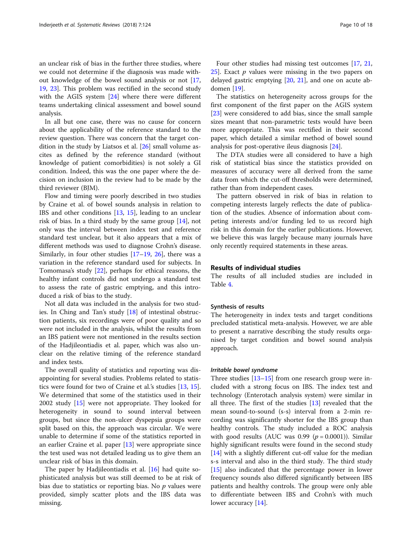an unclear risk of bias in the further three studies, where we could not determine if the diagnosis was made without knowledge of the bowel sound analysis or not [[17](#page-16-0), [19,](#page-16-0) [23](#page-16-0)]. This problem was rectified in the second study with the AGIS system [\[24](#page-16-0)] where there were different teams undertaking clinical assessment and bowel sound analysis.

In all but one case, there was no cause for concern about the applicability of the reference standard to the review question. There was concern that the target condition in the study by Liatsos et al. [\[26\]](#page-16-0) small volume ascites as defined by the reference standard (without knowledge of patient comorbidities) is not solely a GI condition. Indeed, this was the one paper where the decision on inclusion in the review had to be made by the third reviewer (BJM).

Flow and timing were poorly described in two studies by Craine et al. of bowel sounds analysis in relation to IBS and other conditions [[13,](#page-16-0) [15](#page-16-0)], leading to an unclear risk of bias. In a third study by the same group [[14](#page-16-0)], not only was the interval between index test and reference standard test unclear, but it also appears that a mix of different methods was used to diagnose Crohn's disease. Similarly, in four other studies  $[17–19, 26]$  $[17–19, 26]$  $[17–19, 26]$  $[17–19, 26]$  $[17–19, 26]$  $[17–19, 26]$  $[17–19, 26]$ , there was a variation in the reference standard used for subjects. In Tomomasa's study [[22\]](#page-16-0), perhaps for ethical reasons, the healthy infant controls did not undergo a standard test to assess the rate of gastric emptying, and this introduced a risk of bias to the study.

Not all data was included in the analysis for two studies. In Ching and Tan's study [[18](#page-16-0)] of intestinal obstruction patients, six recordings were of poor quality and so were not included in the analysis, whilst the results from an IBS patient were not mentioned in the results section of the Hadjileontiadis et al. paper, which was also unclear on the relative timing of the reference standard and index tests.

The overall quality of statistics and reporting was disappointing for several studies. Problems related to statistics were found for two of Craine et al.'s studies [\[13](#page-16-0), [15](#page-16-0)]. We determined that some of the statistics used in their 2002 study [[15\]](#page-16-0) were not appropriate. They looked for heterogeneity in sound to sound interval between groups, but since the non-ulcer dyspepsia groups were split based on this, the approach was circular. We were unable to determine if some of the statistics reported in an earlier Craine et al. paper [\[13\]](#page-16-0) were appropriate since the test used was not detailed leading us to give them an unclear risk of bias in this domain.

The paper by Hadjileontiadis et al. [[16\]](#page-16-0) had quite sophisticated analysis but was still deemed to be at risk of bias due to statistics or reporting bias. No  $p$  values were provided, simply scatter plots and the IBS data was missing.

Four other studies had missing test outcomes [[17,](#page-16-0) [21](#page-16-0), [25\]](#page-16-0). Exact  $p$  values were missing in the two papers on delayed gastric emptying [\[20](#page-16-0), [21\]](#page-16-0), and one on acute abdomen [\[19](#page-16-0)].

The statistics on heterogeneity across groups for the first component of the first paper on the AGIS system [[23\]](#page-16-0) were considered to add bias, since the small sample sizes meant that non-parametric tests would have been more appropriate. This was rectified in their second paper, which detailed a similar method of bowel sound analysis for post-operative ileus diagnosis [[24\]](#page-16-0).

The DTA studies were all considered to have a high risk of statistical bias since the statistics provided on measures of accuracy were all derived from the same data from which the cut-off thresholds were determined, rather than from independent cases.

The pattern observed in risk of bias in relation to competing interests largely reflects the date of publication of the studies. Absence of information about competing interests and/or funding led to us record high risk in this domain for the earlier publications. However, we believe this was largely because many journals have only recently required statements in these areas.

#### Results of individual studies

The results of all included studies are included in Table [4.](#page-10-0)

#### Synthesis of results

The heterogeneity in index tests and target conditions precluded statistical meta-analysis. However, we are able to present a narrative describing the study results organised by target condition and bowel sound analysis approach.

#### Irritable bowel syndrome

Three studies [[13](#page-16-0)–[15](#page-16-0)] from one research group were included with a strong focus on IBS. The index test and technology (Enterotach analysis system) were similar in all three. The first of the studies [[13](#page-16-0)] revealed that the mean sound-to-sound (s-s) interval from a 2-min recording was significantly shorter for the IBS group than healthy controls. The study included a ROC analysis with good results (AUC was 0.99  $(p = 0.0001)$ ). Similar highly significant results were found in the second study [[14\]](#page-16-0) with a slightly different cut-off value for the median s-s interval and also in the third study. The third study [[15\]](#page-16-0) also indicated that the percentage power in lower frequency sounds also differed significantly between IBS patients and healthy controls. The group were only able to differentiate between IBS and Crohn's with much lower accuracy [[14\]](#page-16-0).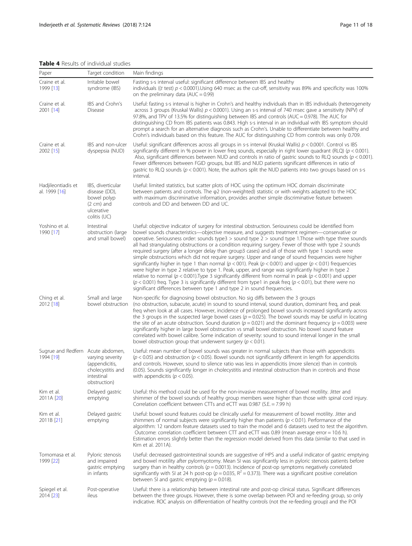#### <span id="page-10-0"></span>Table 4 Results of individual studies

| Paper                                          | Target condition                                                                                        | Main findings                                                                                                                                                                                                                                                                                                                                                                                                                                                                                                                                                                                                                                                                                                                                                                                                                                                                                                                                                                                                                                                                                                                                                                              |
|------------------------------------------------|---------------------------------------------------------------------------------------------------------|--------------------------------------------------------------------------------------------------------------------------------------------------------------------------------------------------------------------------------------------------------------------------------------------------------------------------------------------------------------------------------------------------------------------------------------------------------------------------------------------------------------------------------------------------------------------------------------------------------------------------------------------------------------------------------------------------------------------------------------------------------------------------------------------------------------------------------------------------------------------------------------------------------------------------------------------------------------------------------------------------------------------------------------------------------------------------------------------------------------------------------------------------------------------------------------------|
| Craine et al.<br>1999 [13]                     | Irritable bowel<br>syndrome (IBS)                                                                       | Fasting s-s interval useful: significant difference between IBS and healthy<br>individuals ((t test) $p < 0.0001$ ). Using 640 msec as the cut-off, sensitivity was 89% and specificity was 100%<br>on the preliminary data $(AUC = 0.99)$                                                                                                                                                                                                                                                                                                                                                                                                                                                                                                                                                                                                                                                                                                                                                                                                                                                                                                                                                 |
| Craine et al.<br>2001 [14]                     | IBS and Crohn's<br>Disease                                                                              | Useful: fasting s-s interval is higher in Crohn's and healthy individuals than in IBS individuals (heterogeneity<br>across 3 groups (Kruskal Wallis) $p < 0.0001$ ). Using an s-s interval of 740 msec gave a sensitivity (NPV) of<br>97.8%, and TPV of 13.5% for distinguishing between IBS and controls (AUC = 0.978). The AUC for<br>distinguishing CD from IBS patients was 0.843. High s-s interval in an individual with IBS symptom should<br>prompt a search for an alternative diagnosis such as Crohn's. Unable to differentiate between healthy and<br>Crohn's individuals based on this feature. The AUC for distinguishing CD from controls was only 0.709.                                                                                                                                                                                                                                                                                                                                                                                                                                                                                                                   |
| Craine et al.<br>2002 [15]                     | IBS and non-ulcer<br>dyspepsia (NUD)                                                                    | Useful: significant differences across all groups in s-s interval (Kruskal Wallis) $p < 0.0001$ . Control vs IBS<br>significantly different in % power in lower freq sounds, especially in right lower quadrant (RLQ) ( $p < 0.001$ ).<br>Also, significant differences between NUD and controls in ratio of gastric sounds to RLQ sounds ( $p < 0.001$ ).<br>Fewer differences between FGID groups, but IBS and NUD patients significant differences in ratio of<br>gastric to RLQ sounds ( $p < 0.001$ ). Note, the authors split the NUD patients into two groups based on s-s<br>interval.                                                                                                                                                                                                                                                                                                                                                                                                                                                                                                                                                                                             |
| Hadjileontiadis et<br>al. 1999 [16]            | IBS, diverticular<br>disease (DD),<br>bowel polyp<br>$(2 \text{ cm})$ and<br>ulcerative<br>colitis (UC) | Useful: limited statistics, but scatter plots of HOC using the optimum HOC domain discriminate<br>between patients and controls. The φ2 (non-weighted) statistic or with weights adapted to the HOC<br>with maximum discriminative information, provides another simple discriminative feature between<br>controls and DD and between DD and UC.                                                                                                                                                                                                                                                                                                                                                                                                                                                                                                                                                                                                                                                                                                                                                                                                                                           |
| Yoshino et al.<br>1990 [17]                    | Intestinal<br>obstruction (large<br>and small bowel)                                                    | Useful: objective indicator of surgery for intestinal obstruction. Seriousness could be identified from<br>bowel sounds characteristics—objective measure, and suggests treatment regimen—conservative or<br>operative. Seriousness order: sounds type3 > sound type 2 > sound type 1. Those with type three sounds<br>all had strangulating obstructions or a condition requiring surgery. Fewer of those with type 2 sounds<br>required surgery (after a longer delay than group3 cases) and all of those with type 1 sounds were<br>simple obstructions which did not require surgery. Upper and range of sound frequencies were higher<br>significantly higher in type 1 than normal ( $p < 001$ ). Peak ( $p < 0.001$ ) and upper ( $p < 0.01$ ) frequencies<br>were higher in type 2 relative to type 1. Peak, upper, and range was significantly higher in type 2<br>relative to normal ( $p < 0.001$ ). Type 3 significantly different from normal in peak ( $p < 0.001$ ) and upper<br>$(p < 0.001)$ freq. Type 3 is significantly different from type1 in peak freq ( $p < 0.01$ ), but there were no<br>significant differences between type 1 and type 2 in sound frequencies. |
| Ching et al.<br>2012 [18]                      | Small and large<br>bowel obstruction                                                                    | Non-specific for diagnosing bowel obstruction. No sig diffs between the 3 groups<br>(no obstruction, subacute, acute) in sound to sound interval, sound duration, dominant freq, and peak<br>freg when look at all cases. However, incidence of prolonged bowel sounds increased significantly across<br>the 3 groups in the suspected large bowel cases ( $p = 0.025$ ). The bowel sounds may be useful in locating<br>the site of an acute obstruction. Sound duration ( $p = 0.021$ ) and the dominant frequency ( $p = 0.003$ ) were<br>significantly higher in large bowel obstruction vs small bowel obstruction. No bowel sound feature<br>correlated with bowel calibre. Some indication of severity: sound to sound interval longer in the small<br>bowel obstruction group that underwent surgery ( $p < 0.01$ ).                                                                                                                                                                                                                                                                                                                                                                |
| Sugrue and Redfern Acute abdomen,<br>1994 [19] | varying severity<br>(appendicitis,<br>cholecystitis and<br>intestinal<br>obstruction)                   | Useful: mean number of bowel sounds was greater in normal subjects than those with appendicitis<br>$(p < 0.05)$ and obstruction ( $p < 0.05$ ). Bowel sounds not significantly different in length for appendicitis<br>and controls. However, sound to silence ratio was less in appendicitis (more silence) than in controls<br>(0.05). Sounds significantly longer in cholecystitis and intestinal obstruction than in controls and those<br>with appendicitis $(p < 0.05)$ .                                                                                                                                                                                                                                                                                                                                                                                                                                                                                                                                                                                                                                                                                                            |
| Kim et al.<br>2011A [20]                       | Delayed gastric<br>emptying                                                                             | Useful: this method could be used for the non-invasive measurement of bowel motility. Jitter and<br>shimmer of the bowel sounds of healthy group members were higher than those with spinal cord injury.<br>Correlation coefficient between CTTs and eCTT was 0.987 (S.E. = 7.99 h)                                                                                                                                                                                                                                                                                                                                                                                                                                                                                                                                                                                                                                                                                                                                                                                                                                                                                                        |
| Kim et al.<br>2011B [21]                       | Delayed gastric<br>emptying                                                                             | Useful: bowel sound features could be clinically useful for measurement of bowel motility. Jitter and<br>shimmers of normal subjects were significantly higher than patients ( $p < 0.01$ ). Performance of the<br>algorithm: 12 random feature datasets used to train the model and 6 datasets used to test the algorithm.<br>Outcome: correlation coefficient between CTT and eCTT was 0.89 (mean average error = 10.6 h).<br>Estimation errors slightly better than the regression model derived from this data (similar to that used in<br>Kim et al. 2011A).                                                                                                                                                                                                                                                                                                                                                                                                                                                                                                                                                                                                                          |
| Tomomasa et al.<br>1999 [22]                   | Pyloric stenosis<br>and impaired<br>gastric emptying<br>in infants                                      | Useful: decreased gastrointestinal sounds are suggestive of HPS and a useful indicator of gastric emptying<br>and bowel motility after pylormyotomy. Mean SI was significantly less in pyloric stenosis patients before<br>surgery than in healthy controls ( $p = 0.0013$ ). Incidence of post-op symptoms negatively correlated<br>significantly with SI at 24 h post-op ( $p = 0.035$ , $R^2 = 0.373$ ). There was a significant positive correlation<br>between SI and gastric emptying ( $p = 0.018$ ).                                                                                                                                                                                                                                                                                                                                                                                                                                                                                                                                                                                                                                                                               |
| Spiegel et al.<br>2014 [23]                    | Post-operative<br>ileus                                                                                 | Useful: there is a relationship between intestinal rate and post-op clinical status. Significant differences<br>between the three groups. However, there is some overlap between POI and re-feeding group, so only<br>indicative. ROC analysis on differentiation of healthy controls (not the re-feeding group) and the POI                                                                                                                                                                                                                                                                                                                                                                                                                                                                                                                                                                                                                                                                                                                                                                                                                                                               |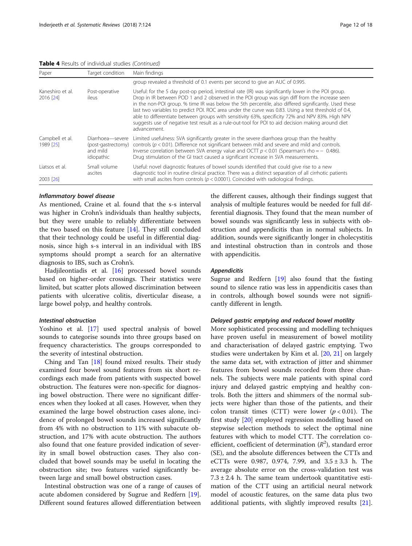Table 4 Results of individual studies (Continued)

| Paper                         | Target condition                                                 | Main findings                                                                                                                                                                                                                                                                                                                                                                                                                                                                                                                                                                                                                                    |
|-------------------------------|------------------------------------------------------------------|--------------------------------------------------------------------------------------------------------------------------------------------------------------------------------------------------------------------------------------------------------------------------------------------------------------------------------------------------------------------------------------------------------------------------------------------------------------------------------------------------------------------------------------------------------------------------------------------------------------------------------------------------|
|                               |                                                                  | group revealed a threshold of 0.1 events per second to give an AUC of 0.995.                                                                                                                                                                                                                                                                                                                                                                                                                                                                                                                                                                     |
| Kaneshiro et al.<br>2016 [24] | Post-operative<br><i>ileus</i>                                   | Useful: for the 5 day post-op period, intestinal rate (IR) was significantly lower in the POI group.<br>Drop in IR between POD 1 and 2 observed in the POI group was sign diff from the increase seen<br>in the non-POI group. % time IR was below the 5th percentile, also differed significantly. Used these<br>last two variables to predict POI. ROC area under the curve was 0.83. Using a test threshold of 0.4,<br>able to differentiate between groups with sensitivity 63%, specificity 72% and NPV 83%. High NPV<br>suggests use of negative test result as a rule-out-tool for POI to aid decision making around diet<br>advancement. |
| Campbell et al.<br>1989 [25]  | Diarrhoea-severe<br>(post-gastrectomy)<br>and mild<br>idiopathic | Limited usefulness: SVA significantly greater in the severe diarrhoea group than the healthy<br>controls ( $p < 0.01$ ). Difference not significant between mild and severe and mild and controls.<br>Inverse correlation between SVA energy value and OCTT $p < 0.01$ (Spearman's rho = - 0.486).<br>Drug stimulation of the GI tract caused a significant increase in SVA measurements.                                                                                                                                                                                                                                                        |
| Liatsos et al.<br>2003 [26]   | Small volume<br>ascites                                          | Useful: novel diagnostic features of bowel sounds identified that could give rise to a new<br>diagnostic tool in routine clinical practice. There was a distinct separation of all cirrhotic patients<br>with small ascites from controls ( $p < 0.0001$ ). Coincided with radiological findings.                                                                                                                                                                                                                                                                                                                                                |

#### Inflammatory bowel disease

As mentioned, Craine et al. found that the s-s interval was higher in Crohn's individuals than healthy subjects, but they were unable to reliably differentiate between the two based on this feature [[14\]](#page-16-0). They still concluded that their technology could be useful in differential diagnosis, since high s-s interval in an individual with IBS symptoms should prompt a search for an alternative diagnosis to IBS, such as Crohn's.

Hadjileontiadis et al. [\[16](#page-16-0)] processed bowel sounds based on higher-order crossings. Their statistics were limited, but scatter plots allowed discrimination between patients with ulcerative colitis, diverticular disease, a large bowel polyp, and healthy controls.

#### Intestinal obstruction

Yoshino et al. [\[17\]](#page-16-0) used spectral analysis of bowel sounds to categorise sounds into three groups based on frequency characteristics. The groups corresponded to the severity of intestinal obstruction.

Ching and Tan [\[18\]](#page-16-0) found mixed results. Their study examined four bowel sound features from six short recordings each made from patients with suspected bowel obstruction. The features were non-specific for diagnosing bowel obstruction. There were no significant differences when they looked at all cases. However, when they examined the large bowel obstruction cases alone, incidence of prolonged bowel sounds increased significantly from 4% with no obstruction to 11% with subacute obstruction, and 17% with acute obstruction. The authors also found that one feature provided indication of severity in small bowel obstruction cases. They also concluded that bowel sounds may be useful in locating the obstruction site; two features varied significantly between large and small bowel obstruction cases.

Intestinal obstruction was one of a range of causes of acute abdomen considered by Sugrue and Redfern [\[19](#page-16-0)]. Different sound features allowed differentiation between

the different causes, although their findings suggest that analysis of multiple features would be needed for full differential diagnosis. They found that the mean number of bowel sounds was significantly less in subjects with obstruction and appendicitis than in normal subjects. In addition, sounds were significantly longer in cholecystitis and intestinal obstruction than in controls and those with appendicitis.

#### Appendicitis

Sugrue and Redfern [[19\]](#page-16-0) also found that the fasting sound to silence ratio was less in appendicitis cases than in controls, although bowel sounds were not significantly different in length.

#### Delayed gastric emptying and reduced bowel motility

More sophisticated processing and modelling techniques have proven useful in measurement of bowel motility and characterisation of delayed gastric emptying. Two studies were undertaken by Kim et al. [\[20,](#page-16-0) [21\]](#page-16-0) on largely the same data set, with extraction of jitter and shimmer features from bowel sounds recorded from three channels. The subjects were male patients with spinal cord injury and delayed gastric emptying and healthy controls. Both the jitters and shimmers of the normal subjects were higher than those of the patients, and their colon transit times (CTT) were lower ( $p < 0.01$ ). The first study [[20\]](#page-16-0) employed regression modelling based on stepwise selection methods to select the optimal nine features with which to model CTT. The correlation coefficient, coefficient of determination  $(R^2)$ , standard error (SE), and the absolute differences between the CTTs and eCTTs were 0.987, 0.974, 7.99, and  $3.5 \pm 3.3$  h. The average absolute error on the cross-validation test was 7.3  $\pm$  2.4 h. The same team undertook quantitative estimation of the CTT using an artificial neural network model of acoustic features, on the same data plus two additional patients, with slightly improved results [\[21](#page-16-0)].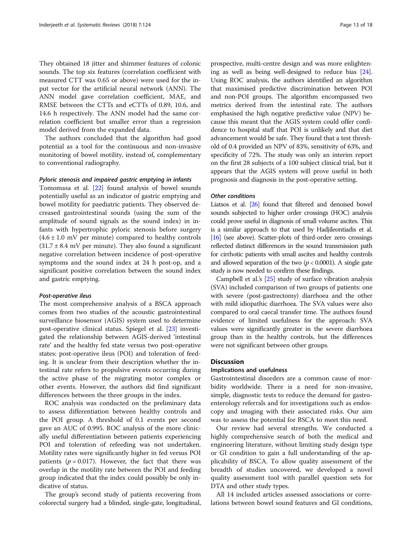They obtained 18 jitter and shimmer features of colonic sounds. The top six features (correlation coefficient with measured CTT was 0.65 or above) were used for the input vector for the artificial neural network (ANN). The ANN model gave correlation coefficient, MAE, and RMSE between the CTTs and eCTTs of 0.89, 10.6, and 14.6 h respectively. The ANN model had the same correlation coefficient but smaller error than a regression model derived from the expanded data.

The authors concluded that the algorithm had good potential as a tool for the continuous and non-invasive monitoring of bowel motility, instead of, complementary to conventional radiography.

#### Pyloric stenosis and impaired gastric emptying in infants

Tomomasa et al. [[22\]](#page-16-0) found analysis of bowel sounds potentially useful as an indicator of gastric emptying and bowel motility for paediatric patients. They observed decreased gastrointestinal sounds (using the sum of the amplitude of sound signals as the sound index) in infants with hypertrophic pyloric stenosis before surgery  $(4.6 \pm 1.0 \text{ mV}$  per minute) compared to healthy controls  $(31.7 \pm 8.4 \text{ mV})$  per minute). They also found a significant negative correlation between incidence of post-operative symptoms and the sound index at 24 h post-op, and a significant positive correlation between the sound index and gastric emptying.

#### Post-operative ileus

The most comprehensive analysis of a BSCA approach comes from two studies of the acoustic gastrointestinal surveillance biosensor (AGIS) system used to determine post-operative clinical status. Spiegel et al. [\[23](#page-16-0)] investigated the relationship between AGIS-derived 'intestinal rate' and the healthy fed state versus two post-operative states: post-operative ileus (POI) and toleration of feeding. It is unclear from their description whether the intestinal rate refers to propulsive events occurring during the active phase of the migrating motor complex or other events. However, the authors did find significant differences between the three groups in the index.

ROC analysis was conducted on the preliminary data to assess differentiation between healthy controls and the POI group. A threshold of 0.1 events per second gave an AUC of 0.995. ROC analysis of the more clinically useful differentiation between patients experiencing POI and toleration of refeeding was not undertaken. Motility rates were significantly higher in fed versus POI patients ( $p = 0.017$ ). However, the fact that there was overlap in the motility rate between the POI and feeding group indicated that the index could possibly be only indicative of status.

The group's second study of patients recovering from colorectal surgery had a blinded, single-gate, longitudinal, prospective, multi-centre design and was more enlightening as well as being well-designed to reduce bias [[24](#page-16-0)]. Using ROC analysis, the authors identified an algorithm that maximised predictive discrimination between POI and non-POI groups. The algorithm encompassed two metrics derived from the intestinal rate. The authors emphasised the high negative predictive value (NPV) because this meant that the AGIS system could offer confidence to hospital staff that POI is unlikely and that diet advancement would be safe. They found that a test threshold of 0.4 provided an NPV of 83%, sensitivity of 63%, and specificity of 72%. The study was only an interim report on the first 28 subjects of a 100 subject clinical trial, but it appears that the AGIS system will prove useful in both prognosis and diagnosis in the post-operative setting.

#### Other conditions

Liatsos et al. [\[26\]](#page-16-0) found that filtered and denoised bowel sounds subjected to higher order crossings (HOC) analysis could prove useful in diagnosis of small volume ascites. This is a similar approach to that used by Hadjileontiadis et al. [[16\]](#page-16-0) (see above). Scatter-plots of third-order zero crossings reflected distinct differences in the sound transmission path for cirrhotic patients with small ascites and healthy controls and allowed separation of the two ( $p < 0.0001$ ). A single gate study is now needed to confirm these findings.

Campbell et al.'s [\[25\]](#page-16-0) study of surface vibration analysis (SVA) included comparison of two groups of patients: one with severe (post-gastrectomy) diarrhoea and the other with mild idiopathic diarrhoea. The SVA values were also compared to oral caecal transfer time. The authors found evidence of limited usefulness for the approach: SVA values were significantly greater in the severe diarrhoea group than in the healthy controls, but the differences were not significant between other groups.

#### **Discussion**

#### Implications and usefulness

Gastrointestinal disorders are a common cause of morbidity worldwide. There is a need for non-invasive, simple, diagnostic tests to reduce the demand for gastroenterology referrals and for investigations such as endoscopy and imaging with their associated risks. Our aim was to assess the potential for BSCA to meet this need.

Our review had several strengths. We conducted a highly comprehensive search of both the medical and engineering literature, without limiting study design type or GI condition to gain a full understanding of the applicability of BSCA. To allow quality assessment of the breadth of studies uncovered, we developed a novel quality assessment tool with parallel question sets for DTA and other study types.

All 14 included articles assessed associations or correlations between bowel sound features and GI conditions,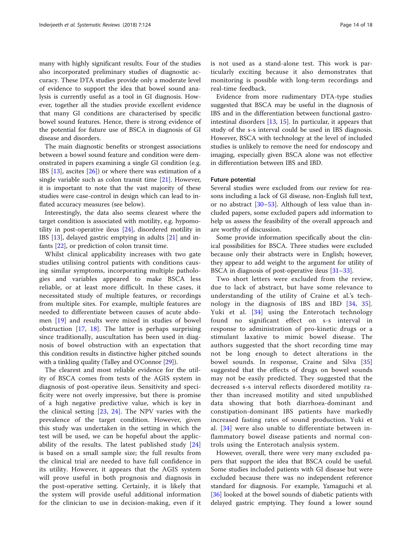many with highly significant results. Four of the studies also incorporated preliminary studies of diagnostic accuracy. These DTA studies provide only a moderate level of evidence to support the idea that bowel sound analysis is currently useful as a tool in GI diagnosis. However, together all the studies provide excellent evidence that many GI conditions are characterised by specific bowel sound features. Hence, there is strong evidence of the potential for future use of BSCA in diagnosis of GI disease and disorders.

The main diagnostic benefits or strongest associations between a bowel sound feature and condition were demonstrated in papers examining a single GI condition (e.g. IBS  $[13]$ , ascites  $[26]$ ) or where there was estimation of a single variable such as colon transit time [[21\]](#page-16-0). However, it is important to note that the vast majority of these studies were case-control in design which can lead to inflated accuracy measures (see below).

Interestingly, the data also seems clearest where the target condition is associated with motility, e.g. hypomotility in post-operative ileus [[24\]](#page-16-0), disordered motility in IBS [\[13](#page-16-0)], delayed gastric emptying in adults [\[21\]](#page-16-0) and infants [[22](#page-16-0)], or prediction of colon transit time.

Whilst clinical applicability increases with two gate studies utilising control patients with conditions causing similar symptoms, incorporating multiple pathologies and variables appeared to make BSCA less reliable, or at least more difficult. In these cases, it necessitated study of multiple features, or recordings from multiple sites. For example, multiple features are needed to differentiate between causes of acute abdomen [[19\]](#page-16-0) and results were mixed in studies of bowel obstruction [[17,](#page-16-0) [18](#page-16-0)]. The latter is perhaps surprising since traditionally, auscultation has been used in diagnosis of bowel obstruction with an expectation that this condition results in distinctive higher pitched sounds with a tinkling quality (Talley and O'Connor [\[29\]](#page-16-0)).

The clearest and most reliable evidence for the utility of BSCA comes from tests of the AGIS system in diagnosis of post-operative ileus. Sensitivity and specificity were not overly impressive, but there is promise of a high negative predictive value, which is key in the clinical setting [\[23](#page-16-0), [24](#page-16-0)]. The NPV varies with the prevalence of the target condition. However, given this study was undertaken in the setting in which the test will be used, we can be hopeful about the applicability of the results. The latest published study [\[24](#page-16-0)] is based on a small sample size; the full results from the clinical trial are needed to have full confidence in its utility. However, it appears that the AGIS system will prove useful in both prognosis and diagnosis in the post-operative setting. Certainly, it is likely that the system will provide useful additional information for the clinician to use in decision-making, even if it is not used as a stand-alone test. This work is particularly exciting because it also demonstrates that monitoring is possible with long-term recordings and real-time feedback.

Evidence from more rudimentary DTA-type studies suggested that BSCA may be useful in the diagnosis of IBS and in the differentiation between functional gastrointestinal disorders [\[13](#page-16-0), [15](#page-16-0)]. In particular, it appears that study of the s-s interval could be used in IBS diagnosis. However, BSCA with technology at the level of included studies is unlikely to remove the need for endoscopy and imaging, especially given BSCA alone was not effective in differentiation between IBS and IBD.

#### Future potential

Several studies were excluded from our review for reasons including a lack of GI disease, non-English full text, or no abstract [\[30](#page-16-0)–[53](#page-17-0)]. Although of less value than included papers, some excluded papers add information to help us assess the feasibility of the overall approach and are worthy of discussion.

Some provide information specifically about the clinical possibilities for BSCA. Three studies were excluded because only their abstracts were in English; however, they appear to add weight to the argument for utility of BSCA in diagnosis of post-operative ileus [\[31](#page-16-0)–[33\]](#page-16-0).

Two short letters were excluded from the review, due to lack of abstract, but have some relevance to understanding of the utility of Craine et al.'s technology in the diagnosis of IBS and IBD [[34](#page-16-0), [35](#page-16-0)]. Yuki et al. <a>[[34](#page-16-0)]</a> using the Enterotach technology found no significant effect on s-s interval in response to administration of pro-kinetic drugs or a stimulant laxative to mimic bowel disease. The authors suggested that the short recording time may not be long enough to detect alterations in the bowel sounds. In response, Craine and Silva [\[35](#page-16-0)] suggested that the effects of drugs on bowel sounds may not be easily predicted. They suggested that the decreased s-s interval reflects disordered motility rather than increased motility and sited unpublished data showing that both diarrhoea-dominant and constipation-dominant IBS patients have markedly increased fasting rates of sound production. Yuki et al. [[34](#page-16-0)] were also unable to differentiate between inflammatory bowel disease patients and normal controls using the Enterotach analysis system.

However, overall, there were very many excluded papers that support the idea that BSCA could be useful. Some studies included patients with GI disease but were excluded because there was no independent reference standard for diagnosis. For example, Yamaguchi et al. [[36\]](#page-16-0) looked at the bowel sounds of diabetic patients with delayed gastric emptying. They found a lower sound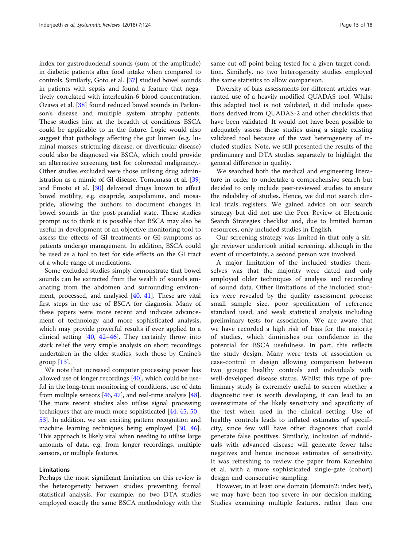index for gastroduodenal sounds (sum of the amplitude) in diabetic patients after food intake when compared to controls. Similarly, Goto et al. [[37\]](#page-16-0) studied bowel sounds in patients with sepsis and found a feature that negatively correlated with interleukin-6 blood concentration. Ozawa et al. [[38\]](#page-16-0) found reduced bowel sounds in Parkinson's disease and multiple system atrophy patients. These studies hint at the breadth of conditions BSCA could be applicable to in the future. Logic would also suggest that pathology affecting the gut lumen (e.g. luminal masses, stricturing disease, or diverticular disease) could also be diagnosed via BSCA, which could provide an alternative screening test for colorectal malignancy.- Other studies excluded were those utilising drug administration as a mimic of GI disease. Tomomasa et al. [[39](#page-16-0)] and Emoto et al. [[30\]](#page-16-0) delivered drugs known to affect bowel motility, e.g. cisapride, scopolamine, and mosapride, allowing the authors to document changes in bowel sounds in the post-prandial state. These studies prompt us to think it is possible that BSCA may also be useful in development of an objective monitoring tool to assess the effects of GI treatments or GI symptoms as patients undergo management. In addition, BSCA could be used as a tool to test for side effects on the GI tract of a whole range of medications.

Some excluded studies simply demonstrate that bowel sounds can be extracted from the wealth of sounds emanating from the abdomen and surrounding environment, processed, and analysed [\[40,](#page-16-0) [41](#page-16-0)]. These are vital first steps in the use of BSCA for diagnosis. Many of these papers were more recent and indicate advancement of technology and more sophisticated analysis, which may provide powerful results if ever applied to a clinical setting  $[40, 42-46]$  $[40, 42-46]$  $[40, 42-46]$  $[40, 42-46]$  $[40, 42-46]$ . They certainly throw into stark relief the very simple analysis on short recordings undertaken in the older studies, such those by Craine's group  $[13]$  $[13]$ .

We note that increased computer processing power has allowed use of longer recordings [\[40](#page-16-0)], which could be useful in the long-term monitoring of conditions, use of data from multiple sensors [\[46](#page-16-0), [47\]](#page-16-0), and real-time analysis [[48](#page-16-0)]. The more recent studies also utilise signal processing techniques that are much more sophisticated [\[44,](#page-16-0) [45,](#page-16-0) [50](#page-17-0)– [53](#page-17-0)]. In addition, we see exciting pattern recognition and machine learning techniques being employed [\[30,](#page-16-0) [46](#page-16-0)]. This approach is likely vital when needing to utilise large amounts of data, e.g. from longer recordings, multiple sensors, or multiple features.

#### Limitations

Perhaps the most significant limitation on this review is the heterogeneity between studies preventing formal statistical analysis. For example, no two DTA studies employed exactly the same BSCA methodology with the same cut-off point being tested for a given target condition. Similarly, no two heterogeneity studies employed the same statistics to allow comparison.

Diversity of bias assessments for different articles warranted use of a heavily modified QUADAS tool. Whilst this adapted tool is not validated, it did include questions derived from QUADAS-2 and other checklists that have been validated. It would not have been possible to adequately assess these studies using a single existing validated tool because of the vast heterogeneity of included studies. Note, we still presented the results of the preliminary and DTA studies separately to highlight the general difference in quality.

We searched both the medical and engineering literature in order to undertake a comprehensive search but decided to only include peer-reviewed studies to ensure the reliability of studies. Hence, we did not search clinical trials registers. We gained advice on our search strategy but did not use the Peer Review of Electronic Search Strategies checklist and, due to limited human resources, only included studies in English.

Our screening strategy was limited in that only a single reviewer undertook initial screening, although in the event of uncertainty, a second person was involved.

A major limitation of the included studies themselves was that the majority were dated and only employed older techniques of analysis and recording of sound data. Other limitations of the included studies were revealed by the quality assessment process: small sample size, poor specification of reference standard used, and weak statistical analysis including preliminary tests for association. We are aware that we have recorded a high risk of bias for the majority of studies, which diminishes our confidence in the potential for BSCA usefulness. In part, this reflects the study design. Many were tests of association or case-control in design allowing comparison between two groups: healthy controls and individuals with well-developed disease status. Whilst this type of preliminary study is extremely useful to screen whether a diagnostic test is worth developing, it can lead to an overestimate of the likely sensitivity and specificity of the test when used in the clinical setting. Use of healthy controls leads to inflated estimates of specificity, since few will have other diagnoses that could generate false positives. Similarly, inclusion of individuals with advanced disease will generate fewer false negatives and hence increase estimates of sensitivity. It was refreshing to review the paper from Kaneshiro et al. with a more sophisticated single-gate (cohort) design and consecutive sampling.

However, in at least one domain (domain2: index test), we may have been too severe in our decision-making. Studies examining multiple features, rather than one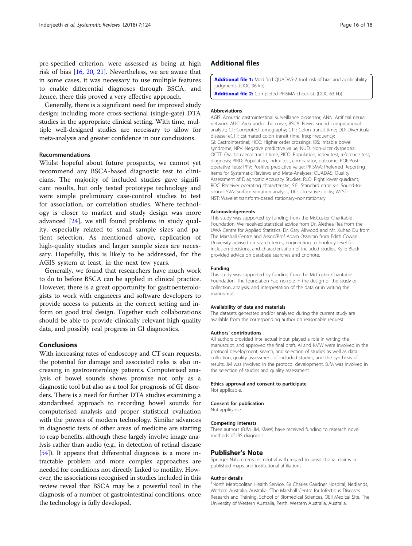<span id="page-15-0"></span>pre-specified criterion, were assessed as being at high risk of bias [\[16](#page-16-0), [20,](#page-16-0) [21](#page-16-0)]. Nevertheless, we are aware that in some cases, it was necessary to use multiple features to enable differential diagnoses through BSCA, and hence, there this proved a very effective approach.

Generally, there is a significant need for improved study design: including more cross-sectional (single-gate) DTA studies in the appropriate clinical setting. With time, multiple well-designed studies are necessary to allow for meta-analysis and greater confidence in our conclusions.

#### Recommendations

Whilst hopeful about future prospects, we cannot yet recommend any BSCA-based diagnostic test to clinicians. The majority of included studies gave significant results, but only tested prototype technology and were simple preliminary case-control studies to test for association, or correlation studies. Where technology is closer to market and study design was more advanced [[24\]](#page-16-0), we still found problems in study quality, especially related to small sample sizes and patient selection. As mentioned above, replication of high-quality studies and larger sample sizes are necessary. Hopefully, this is likely to be addressed, for the AGIS system at least, in the next few years.

Generally, we found that researchers have much work to do to before BSCA can be applied in clinical practice. However, there is a great opportunity for gastroenterologists to work with engineers and software developers to provide access to patients in the correct setting and inform on good trial design. Together such collaborations should be able to provide clinically relevant high quality data, and possibly real progress in GI diagnostics.

#### Conclusions

With increasing rates of endoscopy and CT scan requests, the potential for damage and associated risks is also increasing in gastroenterology patients. Computerised analysis of bowel sounds shows promise not only as a diagnostic tool but also as a tool for prognosis of GI disorders. There is a need for further DTA studies examining a standardised approach to recording bowel sounds for computerised analysis and proper statistical evaluation with the powers of modern technology. Similar advances in diagnostic tests of other areas of medicine are starting to reap benefits, although these largely involve image analysis rather than audio (e.g., in detection of retinal disease [[54](#page-17-0)]). It appears that differential diagnosis is a more intractable problem and more complex approaches are needed for conditions not directly linked to motility. However, the associations recognised in studies included in this review reveal that BSCA may be a powerful tool in the diagnosis of a number of gastrointestinal conditions, once the technology is fully developed.

#### Additional files

[Additional file 1:](https://doi.org/10.1186/s13643-018-0789-3) Modified QUADAS-2 tool: risk of bias and applicability judgments. (DOC 96 kb)

[Additional file 2:](https://doi.org/10.1186/s13643-018-0789-3) Completed PRISMA checklist. (DOC 63 kb)

#### Abbreviations

AGIS: Acoustic gastrointestinal surveillance biosensor; ANN: Artificial neural network; AUC: Area under the curve; BSCA: Bowel sound computational analysis; CT: Computed tomography; CTT: Colon transit time; DD: Diverticular disease; eCTT: Estimated colon transit time; freq: Frequency; GI: Gastrointestinal; HOC: Higher order crossings; IBS: Irritable bowel syndrome; NPV: Negative predictive value; NUD: Non-ulcer dyspepsia; OCTT: Oral to caecal transit time; PICO: Population, index test, reference test, diagnosis; PIRD: Population, index test, comparator, outcome; POI: Postoperative ileus; PPV: Positive predictive value; PRISMA: Preferred Reporting Items for Systematic Reviews and Meta-Analyses; QUADAS: Quality Assessment of Diagnostic Accuracy Studies; RLQ: Right lower quadrant; ROC: Receiver operating characteristic; S.E.: Standard error; s-s: Sound-tosound; SVA: Surface vibration analysis; UC: Ulcerative colitis; WTST-NST: Wavelet transform-based stationary–nonstationary

#### Acknowledgements

This study was supported by funding from the McCusker Charitable Foundation. We received statistical advice from Dr. Alethea Rea from the UWA Centre for Applied Statistics. Dr. Gary Allwood and Mr. Xuhao Du from The Marshall Centre and Assoc/Prof Adam Osseiran from Edith Cowan University advised on search terms, engineering technology level for inclusion decisions, and characterisation of included studies. Kylie Black provided advice on database searches and Endnote.

#### Funding

This study was supported by funding from the McCusker Charitable Foundation. The foundation had no role in the design of the study or collection, analysis, and interpretation of the data or in writing the manuscript.

#### Availability of data and materials

The datasets generated and/or analysed during the current study are available from the corresponding author on reasonable request.

#### Authors' contributions

All authors provided intellectual input, played a role in writing the manuscript, and approved the final draft. AI and KMW were involved in the protocol development, search, and selection of studies as well as data collection, quality assessment of included studies, and the synthesis of results. JM was involved in the protocol development. BJM was involved in the selection of studies and quality assessment.

#### Ethics approval and consent to participate

Not applicable.

#### Consent for publication

Not applicable.

#### Competing interests

Three authors (BJM, JM, KMW) have received funding to research novel methods of IBS diagnosis.

#### Publisher's Note

Springer Nature remains neutral with regard to jurisdictional claims in published maps and institutional affiliations.

#### Author details

<sup>1</sup>North Metropolitan Health Service, Sir Charles Gairdner Hospital, Nedlands, Western Australia, Australia. <sup>2</sup>The Marshall Centre for Infectious Diseases Research and Training, School of Biomedical Sciences, QEII Medical Site, The University of Western Australia, Perth, Western Australia, Australia.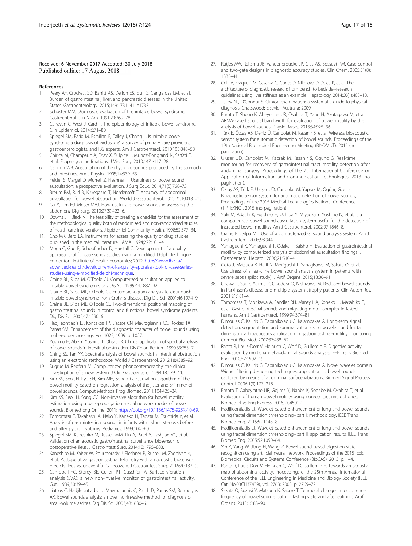#### <span id="page-16-0"></span>Received: 6 November 2017 Accepted: 30 July 2018 Published online: 17 August 2018

#### References

- 1. Peery AF, Crockett SD, Barritt AS, Dellon ES, Eluri S, Gangarosa LM, et al. Burden of gastrointestinal, liver, and pancreatic diseases in the United States. Gastroenterology. 2015;149:1731–41. e1733
- 2. Schuster MM. Diagnostic evaluation of the irritable bowel syndrome. Gastroenterol Clin N Am. 1991;20:269–78.
- 3. Canavan C, West J, Card T. The epidemiology of irritable bowel syndrome. Clin Epidemiol. 2014;6:71–80.
- 4. Spiegel BM, Farid M, Esrailian E, Talley J, Chang L. Is irritable bowel syndrome a diagnosis of exclusion?: a survey of primary care providers, gastroenterologists, and IBS experts. Am J Gastroenterol. 2010;105:848–58.
- 5. Chirica M, Champault A, Dray X, Sulpice L, Munoz-Bongrand N, Sarfati E, et al. Esophageal perforations. J Visc Surg. 2010;147:e117–28.
- 6. Cannon WB. Auscultation of the rhythmic sounds produced by the stomach and intestines. Am J Physiol. 1905;14:339–53.
- 7. Felder S, Margel D, Murrell Z, Fleshner P. Usefulness of bowel sound auscultation: a prospective evaluation. J Surg Educ. 2014;71(5):768–73.
- 8. Breum BM, Rud B, Kirkegaard T, Nordentoft T. Accuracy of abdominal auscultation for bowel obstruction. World J Gastroenterol. 2015;21:10018–24.
- 9. Gu Y, Lim HJ, Moser MAJ. How useful are bowel sounds in assessing the abdomen? Dig Surg. 2010;27(5):422–6.
- 10. Downs SH, Black N. The feasibility of creating a checklist for the assessment of the methodological quality both of randomised and non-randomised studies of health care interventions. J Epidemiol Community Health. 1998;52:377–84.
- 11. Cho MK, Bero LA. Instruments for assessing the quality of drug studies published in the medical literature. JAMA. 1994;272:101–4.
- 12. Moga C, Guo B, Schopflocher D, Harstall C. Development of a quality appraisal tool for case series studies using a modified Delphi technique. Edmonton: Institute of Health Economics; 2012. [http://www.ihe.ca/](http://www.ihe.ca/advanced-search/development-of-a-quality-appraisal-tool-for-case-series-studies-using-a-modified-delphi-technique) [advanced-search/development-of-a-quality-appraisal-tool-for-case-series](http://www.ihe.ca/advanced-search/development-of-a-quality-appraisal-tool-for-case-series-studies-using-a-modified-delphi-technique)[studies-using-a-modified-delphi-technique.](http://www.ihe.ca/advanced-search/development-of-a-quality-appraisal-tool-for-case-series-studies-using-a-modified-delphi-technique)
- 13. Craine BL, Silpa M, O'Toole CJ. Computerized auscultation applied to irritable bowel syndrome. Dig Dis Sci. 1999;44:1887–92.
- 14. Craine BL, Silpa ML, O'Toole CJ. Enterotachogram analysis to distinguish irritable bowel syndrome from Crohn's disease. Dig Dis Sci. 2001;46:1974–9.
- 15. Craine BL, Silpa ML, O'Toole CJ. Two-dimensional positional mapping of gastrointestinal sounds in control and functional bowel syndrome patients. Dig Dis Sci. 2002;47:1290–6.
- 16. Hadjileontiadis LJ, Kontakos TP, Liatsos CN, Mavrogiannis CC, Rokkas TA, Panas SM. Enhancement of the diagnostic character of bowel sounds using higher-order crossings, vol. 1022; 1999. p. 1027.
- 17. Yoshino H, Abe Y, Yoshino T, Ohsato K. Clinical application of spectral analysis of bowel sounds in intestinal obstruction. Dis Colon Rectum. 1990;33:753–7.
- 18. Ching SS, Tan YK. Spectral analysis of bowel sounds in intestinal obstruction using an electronic stethoscope. World J Gastroenterol. 2012;18:4585–92.
- 19. Sugrue M, Redfern M. Computerized phonoenterography: the clinical investigation of a new system. J Clin Gastroenterol. 1994;18:139–44.
- 20. Kim KS, Seo JH, Ryu SH, Kim MH, Song CG. Estimation algorithm of the bowel motility based on regression analysis of the jitter and shimmer of bowel sounds. Comput Methods Prog Biomed. 2011;104:426–34.
- 21. Kim KS, Seo JH, Song CG. Non-invasive algorithm for bowel motility estimation using a back-propagation neural network model of bowel sounds. Biomed Eng Online. 2011; <https://doi.org/10.1186/1475-925X-10-69>.
- 22. Tomomasa T, Takahashi A, Nako Y, Kaneko H, Tabata M, Tsuchida Y, et al. Analysis of gastrointestinal sounds in infants with pyloric stenosis before and after pyloromyotomy. Pediatrics. 1999;104:e60.
- 23. Spiegel BM, Kaneshiro M, Russell MM, Lin A, Patel A, Tashjian VC, et al. Validation of an acoustic gastrointestinal surveillance biosensor for postoperative ileus. J Gastrointest Surg. 2014;18:1795–803.
- 24. Kaneshiro M, Kaiser W, Pourmorady J, Fleshner P, Russell M, Zaghiyan K, et al. Postoperative gastrointestinal telemetry with an acoustic biosensor predicts ileus vs. uneventful GI recovery. J Gastrointest Surg. 2016;20:132–9.
- 25. Campbell FC, Storey BE, Cullen PT, Cuschieri A. Surface vibration analysis (SVA): a new non-invasive monitor of gastrointestinal activity. Gut. 1989;30:39–45.
- 26. Liatsos C, Hadjileontiadis LJ, Mavrogiannis C, Patch D, Panas SM, Burroughs AK. Bowel sounds analysis: a novel noninvasive method for diagnosis of small-volume ascites. Dig Dis Sci. 2003;48:1630–6.
- 27. Rutjes AW, Reitsma JB, Vandenbroucke JP, Glas AS, Bossuyt PM. Case-control and two-gate designs in diagnostic accuracy studies. Clin Chem. 2005;51(8): 1335–41.
- 28. Colli A, Fraquelli M, Casazza G, Conte D, Nikolova D, Duca P, et al. The architecture of diagnostic research: from bench to bedside--research guidelines using liver stiffness as an example. Hepatology. 2014;60(1):408–18.
- 29. Talley NJ, O'Connor S. Clinical examination: a systematic guide to physical diagnosis. Chatswood: Elsevier Australia; 2009.
- 30. Emoto T, Shono K, Abeyratne UR, Okahisa T, Yano H, Akutagawa M, et al. ARMA-based spectral bandwidth for evaluation of bowel motility by the analysis of bowel sounds. Physiol Meas. 2013;34:925–36.
- 31. Türk E, Öztaş AS, Deniz Ü, Canpolat M, Kazanır S, et al. Wireless bioacoustic sensor system for automatic detection of bowel sounds. Proceedings of the 19th National Biomedical Engineering Meeting (BIYOMUT). 2015 (no pagination).
- 32. Ulusar UD, Canpolat M, Yaprak M, Kazanir S, Ogunc G. Real-time monitoring for recovery of gastrointestinal tract motility detection after abdominal surgery. Proceedings of the 7th International Conference on Application of Information and Communication Technologies. 2013 (no pagination).
- 33. Öztaş AS, Türk E, Uluşar ÜD, Canpolat M, Yaprak M, Öğünç G, et al. Bioacoustic sensor system for automatic detection of bowel sounds; Proceedings of the 2015 Medical Technologies National Conference (TIPTEKNO). 2015 (no pagination).
- 34. Yuki M, Adachi K, Fujishiro H, Uchida Y, Miyaoka Y, Yoshino N, et al. Is a computerized bowel sound auscultation system useful for the detection of increased bowel motility? Am J Gastroenterol. 2002;97:1846–8.
- 35. Craine BL, Silpa ML. Use of a computerized GI sound analysis system. Am J Gastroenterol. 2003;98:944.
- 36. Yamaguchi K, Yamaguchi T, Odaka T, Saisho H. Evaluation of gastrointestinal motility by computerized analysis of abdominal auscultation findings. J Gastroenterol Hepatol. 2006;21:510–4.
- 37. Goto J, Matsuda K, Harii N, Moriguchi T, Yanagisawa M, Sakata O, et al. Usefulness of a real-time bowel sound analysis system in patients with severe sepsis (pilot study). J Artif Organs. 2015;18:86–91.
- 38. Ozawa T, Saji E, Yajima R, Onodera O, Nishizawa M. Reduced bowel sounds in Parkinson's disease and multiple system atrophy patients. Clin Auton Res. 2001;21:181–4.
- 39. Tomomasa T, Morikawa A, Sandler RH, Mansy HA, Koneko H, Masahiko T, et al. Gastrointestinal sounds and migrating motor complex in fasted humans. Am J Gastroenterol. 1999;94:374–81.
- 40. Dimoulas C, Kalliris G, Papanikolaou G, Kalampakas A. Long-term signal detection, segmentation and summarization using wavelets and fractal dimension: a bioacoustics application in gastrointestinal-motility monitoring. Comput Biol Med. 2007;37:438–62.
- 41. Ranta R, Louis-Dorr V, Heinrich C, Wolf D, Guillemin F. Digestive activity evaluation by multichannel abdominal sounds analysis. IEEE Trans Biomed Eng. 2010;57:1507–19.
- 42. Dimoulas C, Kalliris G, Papanikolaou G, Kalampakas A. Novel wavelet domain Wiener filtering de-noising techniques: application to bowel sounds captured by means of abdominal surface vibrations. Biomed Signal Process Control. 2006;1(3):177–218.
- 43. Emoto T, Aabeyratne UR, Gojima Y, Nanba K, Sogabe M, Okahisa T, et al. Evaluation of human bowel motility using non-contact microphones. Biomed Phys Eng Express. 2016;2:045012.
- 44. Hadjileontiadis LJ. Wavelet-based enhancement of lung and bowel sounds using fractal dimension thresholding--part I: methodology. IEEE Trans Biomed Eng. 2015;52:1143–8.
- 45. Hadjileontiadis LJ. Wavelet-based enhancement of lung and bowel sounds using fractal dimension thresholding--part II: application results. IEEE Trans Biomed Eng. 2005;52:1050–64.
- 46. Yin Y, Yang W, Jiang H, Wang Z. Bowel sound based digestion state recognition using artificial neural network. Proceedings of the 2015 IEEE Biomedical Circuits and Systems Conference (BioCAS); 2015. p. 1–4.
- 47. Ranta R, Louis-Dorr V, Heinrich C, Wolf D, Guillemin F. Towards an acoustic map of abdominal activity. Proceedings of the 25th Annual International Conference of the IEEE Engineering in Medicine and Biology Society (IEEE Cat. No.03CH37439), vol. 2763; 2003. p. 2769–72.
- 48. Sakata O, Suzuki Y, Matsuda K, Satake T. Temporal changes in occurrence frequency of bowel sounds both in fasting state and after eating. J Artif Organs. 2013;16:83–90.